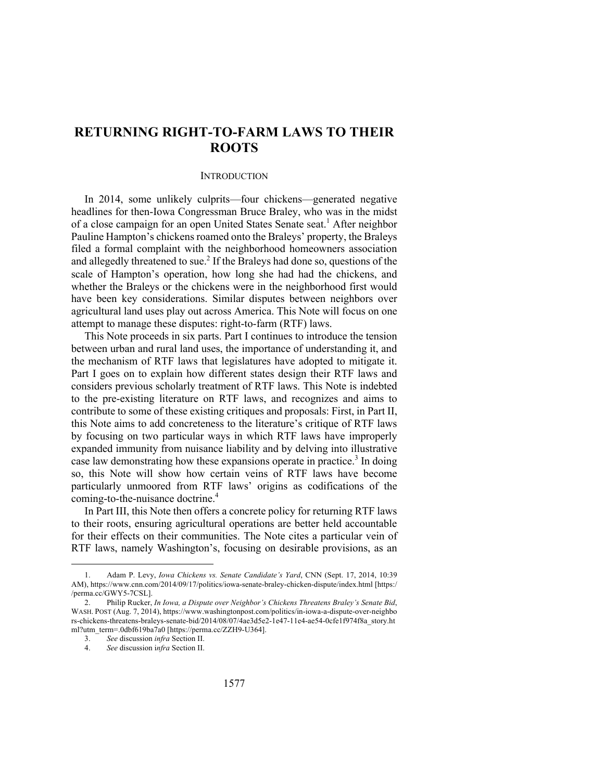# **RETURNING RIGHT-TO-FARM LAWS TO THEIR ROOTS**

#### **INTRODUCTION**

In 2014, some unlikely culprits—four chickens—generated negative headlines for then-Iowa Congressman Bruce Braley, who was in the midst of a close campaign for an open United States Senate seat.<sup>1</sup> After neighbor Pauline Hampton's chickens roamed onto the Braleys' property, the Braleys filed a formal complaint with the neighborhood homeowners association and allegedly threatened to sue. <sup>2</sup> If the Braleys had done so, questions of the scale of Hampton's operation, how long she had had the chickens, and whether the Braleys or the chickens were in the neighborhood first would have been key considerations. Similar disputes between neighbors over agricultural land uses play out across America. This Note will focus on one attempt to manage these disputes: right-to-farm (RTF) laws.

This Note proceeds in six parts. Part I continues to introduce the tension between urban and rural land uses, the importance of understanding it, and the mechanism of RTF laws that legislatures have adopted to mitigate it. Part I goes on to explain how different states design their RTF laws and considers previous scholarly treatment of RTF laws. This Note is indebted to the pre-existing literature on RTF laws, and recognizes and aims to contribute to some of these existing critiques and proposals: First, in Part II, this Note aims to add concreteness to the literature's critique of RTF laws by focusing on two particular ways in which RTF laws have improperly expanded immunity from nuisance liability and by delving into illustrative case law demonstrating how these expansions operate in practice.3 In doing so, this Note will show how certain veins of RTF laws have become particularly unmoored from RTF laws' origins as codifications of the coming-to-the-nuisance doctrine. 4

In Part III, this Note then offers a concrete policy for returning RTF laws to their roots, ensuring agricultural operations are better held accountable for their effects on their communities. The Note cites a particular vein of RTF laws, namely Washington's, focusing on desirable provisions, as an

<sup>1.</sup> Adam P. Levy, *Iowa Chickens vs. Senate Candidate's Yard*, CNN (Sept. 17, 2014, 10:39 AM), https://www.cnn.com/2014/09/17/politics/iowa-senate-braley-chicken-dispute/index.html [https:/ /perma.cc/GWY5-7CSL].

<sup>2.</sup> Philip Rucker, *In Iowa, a Dispute over Neighbor's Chickens Threatens Braley's Senate Bid*, WASH. POST (Aug. 7, 2014), https://www.washingtonpost.com/politics/in-iowa-a-dispute-over-neighbo rs-chickens-threatens-braleys-senate-bid/2014/08/07/4ae3d5e2-1e47-11e4-ae54-0cfe1f974f8a\_story.ht ml?utm\_term=.0dbf619ba7a0 [https://perma.cc/ZZH9-U364].

<sup>3.</sup> *See* discussion *infra* Section II.

<sup>4.</sup> *See* discussion i*nfra* Section II.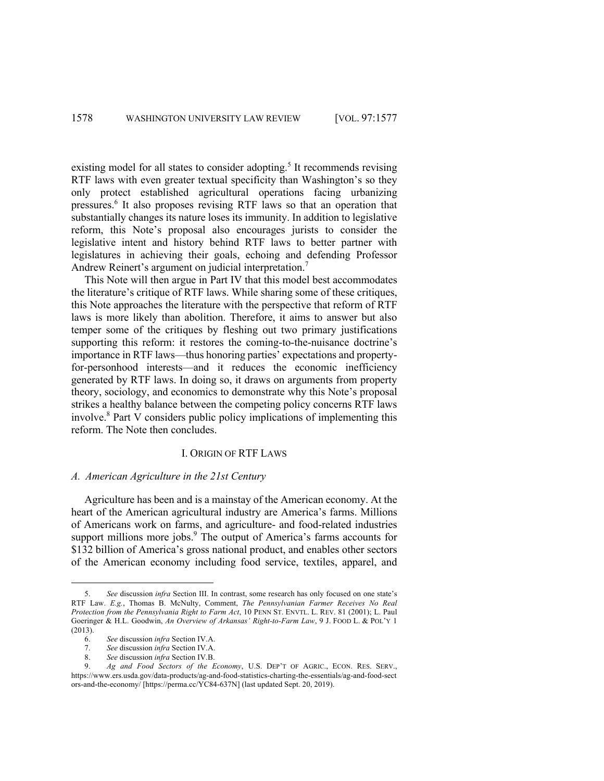existing model for all states to consider adopting.<sup>5</sup> It recommends revising RTF laws with even greater textual specificity than Washington's so they only protect established agricultural operations facing urbanizing pressures.6 It also proposes revising RTF laws so that an operation that substantially changes its nature loses its immunity. In addition to legislative reform, this Note's proposal also encourages jurists to consider the legislative intent and history behind RTF laws to better partner with legislatures in achieving their goals, echoing and defending Professor Andrew Reinert's argument on judicial interpretation.<sup>7</sup>

This Note will then argue in Part IV that this model best accommodates the literature's critique of RTF laws. While sharing some of these critiques, this Note approaches the literature with the perspective that reform of RTF laws is more likely than abolition. Therefore, it aims to answer but also temper some of the critiques by fleshing out two primary justifications supporting this reform: it restores the coming-to-the-nuisance doctrine's importance in RTF laws—thus honoring parties' expectations and propertyfor-personhood interests—and it reduces the economic inefficiency generated by RTF laws. In doing so, it draws on arguments from property theory, sociology, and economics to demonstrate why this Note's proposal strikes a healthy balance between the competing policy concerns RTF laws involve.<sup>8</sup> Part V considers public policy implications of implementing this reform. The Note then concludes.

## I. ORIGIN OF RTF LAWS

# *A. American Agriculture in the 21st Century*

Agriculture has been and is a mainstay of the American economy. At the heart of the American agricultural industry are America's farms. Millions of Americans work on farms, and agriculture- and food-related industries support millions more jobs.<sup>9</sup> The output of America's farms accounts for \$132 billion of America's gross national product, and enables other sectors of the American economy including food service, textiles, apparel, and

<sup>5.</sup> *See* discussion *infra* Section III. In contrast, some research has only focused on one state's RTF Law. *E.g.*, Thomas B. McNulty, Comment, *The Pennsylvanian Farmer Receives No Real Protection from the Pennsylvania Right to Farm Act*, 10 PENN ST. ENVTL. L. REV. 81 (2001); L. Paul Goeringer & H.L. Goodwin, *An Overview of Arkansas' Right-to-Farm Law*, 9 J. FOOD L. & POL'Y 1 (2013).

<sup>6.</sup> *See* discussion *infra* Section IV.A.

<sup>7.</sup> *See* discussion *infra* Section IV.A.

<sup>8.</sup> *See* discussion *infra* Section IV.B.

<sup>9.</sup> *Ag and Food Sectors of the Economy*, U.S. DEP'T OF AGRIC., ECON. RES. SERV., https://www.ers.usda.gov/data-products/ag-and-food-statistics-charting-the-essentials/ag-and-food-sect ors-and-the-economy/ [https://perma.cc/YC84-637N] (last updated Sept. 20, 2019).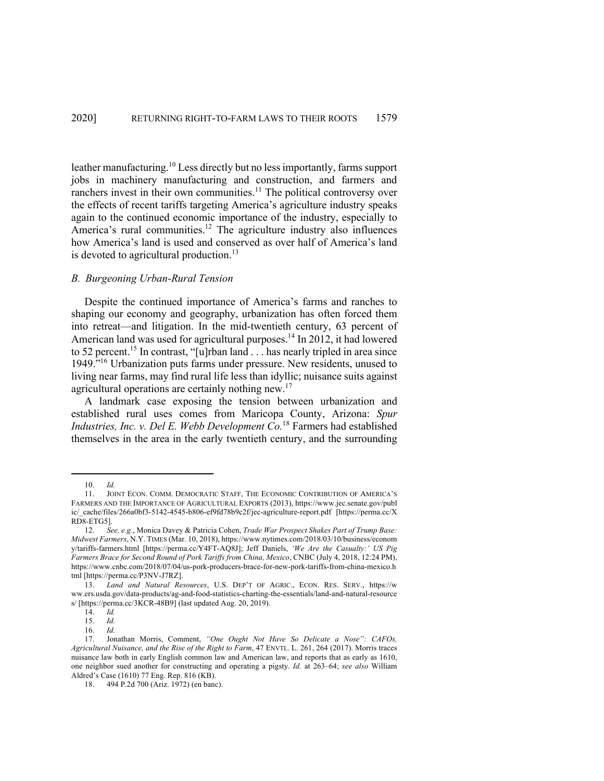leather manufacturing.<sup>10</sup> Less directly but no less importantly, farms support jobs in machinery manufacturing and construction, and farmers and ranchers invest in their own communities.<sup>11</sup> The political controversy over the effects of recent tariffs targeting America's agriculture industry speaks again to the continued economic importance of the industry, especially to America's rural communities.<sup>12</sup> The agriculture industry also influences how America's land is used and conserved as over half of America's land is devoted to agricultural production. $^{13}$ 

#### *B. Burgeoning Urban-Rural Tension*

Despite the continued importance of America's farms and ranches to shaping our economy and geography, urbanization has often forced them into retreat—and litigation. In the mid-twentieth century, 63 percent of American land was used for agricultural purposes.<sup>14</sup> In 2012, it had lowered to 52 percent.<sup>15</sup> In contrast, "[u]rban land . . . has nearly tripled in area since 1949."16 Urbanization puts farms under pressure. New residents, unused to living near farms, may find rural life less than idyllic; nuisance suits against agricultural operations are certainly nothing new.<sup>17</sup>

A landmark case exposing the tension between urbanization and established rural uses comes from Maricopa County, Arizona: *Spur Industries, Inc. v. Del E. Webb Development Co.*<sup>18</sup> Farmers had established themselves in the area in the early twentieth century, and the surrounding

<sup>10.</sup> *Id.*

<sup>11.</sup> JOINT ECON. COMM. DEMOCRATIC STAFF, THE ECONOMIC CONTRIBUTION OF AMERICA'S FARMERS AND THE IMPORTANCE OF AGRICULTURAL EXPORTS (2013), https://www.jec.senate.gov/publ ic/\_cache/files/266a0bf3-5142-4545-b806-ef9fd78b9c2f/jec-agriculture-report.pdf [https://perma.cc/X RD8-ETG5].

<sup>12.</sup> *See, e.g.*, Monica Davey & Patricia Cohen, *Trade War Prospect Shakes Part of Trump Base: Midwest Farmers*, N.Y. TIMES (Mar. 10, 2018), https://www.nytimes.com/2018/03/10/business/econom y/tariffs-farmers.html [https://perma.cc/Y4FT-AQ8J]; Jeff Daniels, *'We Are the Casualty:' US Pig Farmers Brace for Second Round of Pork Tariffs from China, Mexico*, CNBC (July 4, 2018, 12:24 PM), https://www.cnbc.com/2018/07/04/us-pork-producers-brace-for-new-pork-tariffs-from-china-mexico.h tml [https://perma.cc/P3NV-J7RZ].

<sup>13.</sup> *Land and Natural Resources*, U.S. DEP'T OF AGRIC., ECON. RES. SERV., https://w ww.ers.usda.gov/data-products/ag-and-food-statistics-charting-the-essentials/land-and-natural-resource s/ [https://perma.cc/3KCR-48B9] (last updated Aug. 20, 2019).

<sup>14.</sup> *Id.*

<sup>15.</sup> *Id.*

<sup>16.</sup> *Id.*

<sup>17.</sup> Jonathan Morris, Comment, *"One Ought Not Have So Delicate a Nose": CAFOs, Agricultural Nuisance, and the Rise of the Right to Farm*, 47 ENVTL. L. 261, 264 (2017). Morris traces nuisance law both in early English common law and American law, and reports that as early as 1610, one neighbor sued another for constructing and operating a pigsty. *Id.* at 263–64; *see also* William Aldred's Case (1610) 77 Eng. Rep. 816 (KB).

<sup>18.</sup> 494 P.2d 700 (Ariz. 1972) (en banc).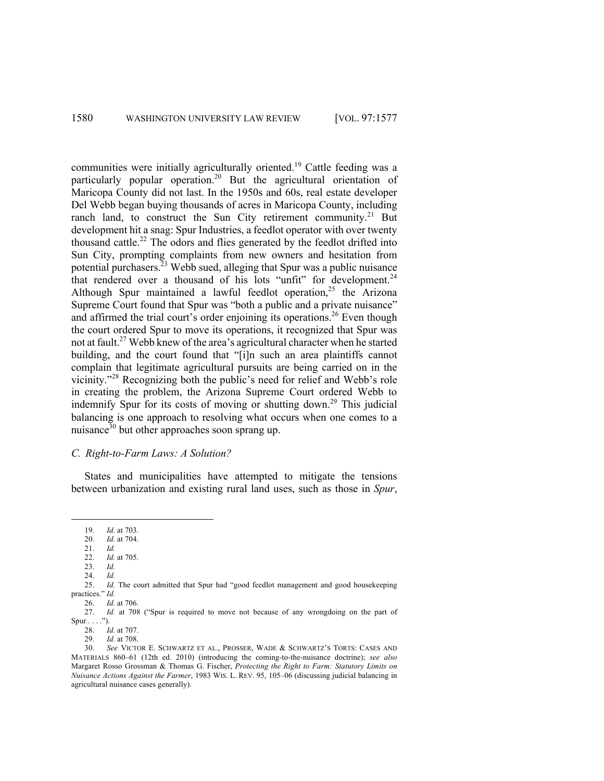communities were initially agriculturally oriented.<sup>19</sup> Cattle feeding was a particularly popular operation.<sup>20</sup> But the agricultural orientation of Maricopa County did not last. In the 1950s and 60s, real estate developer Del Webb began buying thousands of acres in Maricopa County, including ranch land, to construct the Sun City retirement community.<sup>21</sup> But development hit a snag: Spur Industries, a feedlot operator with over twenty thousand cattle.<sup>22</sup> The odors and flies generated by the feedlot drifted into Sun City, prompting complaints from new owners and hesitation from potential purchasers.<sup>23</sup> Webb sued, alleging that Spur was a public nuisance that rendered over a thousand of his lots "unfit" for development. $24$ Although Spur maintained a lawful feedlot operation,<sup>25</sup> the Arizona Supreme Court found that Spur was "both a public and a private nuisance" and affirmed the trial court's order enjoining its operations.<sup>26</sup> Even though the court ordered Spur to move its operations, it recognized that Spur was not at fault.27 Webb knew of the area's agricultural character when he started building, and the court found that "[i]n such an area plaintiffs cannot complain that legitimate agricultural pursuits are being carried on in the vicinity."<sup>28</sup> Recognizing both the public's need for relief and Webb's role in creating the problem, the Arizona Supreme Court ordered Webb to indemnify Spur for its costs of moving or shutting down.<sup>29</sup> This judicial balancing is one approach to resolving what occurs when one comes to a nuisance $30$  but other approaches soon sprang up.

# *C. Right-to-Farm Laws: A Solution?*

States and municipalities have attempted to mitigate the tensions between urbanization and existing rural land uses, such as those in *Spur*,

24. *Id.*

<sup>19.</sup> *Id.* at 703.

<sup>20.</sup> *Id.* at 704.

<sup>21.</sup> *Id. Id.* at 705.

<sup>23.</sup> *Id.* 

<sup>25.</sup> *Id.* The court admitted that Spur had "good feedlot management and good housekeeping practices." *Id.* 

<sup>26.</sup> *Id.* at 706.

<sup>27.</sup> *Id.* at 708 ("Spur is required to move not because of any wrongdoing on the part of  $Spur \ldots$ ").

<sup>28.</sup> *Id.* at 707.

<sup>29.</sup> *Id.* at 708.

<sup>30.</sup> *See* VICTOR E. SCHWARTZ ET AL., PROSSER, WADE & SCHWARTZ'S TORTS: CASES AND MATERIALS 860–61 (12th ed. 2010) (introducing the coming-to-the-nuisance doctrine); *see also*  Margaret Rosso Grossman & Thomas G. Fischer, *Protecting the Right to Farm: Statutory Limits on Nuisance Actions Against the Farmer*, 1983 WIS. L. REV. 95, 105–06 (discussing judicial balancing in agricultural nuisance cases generally).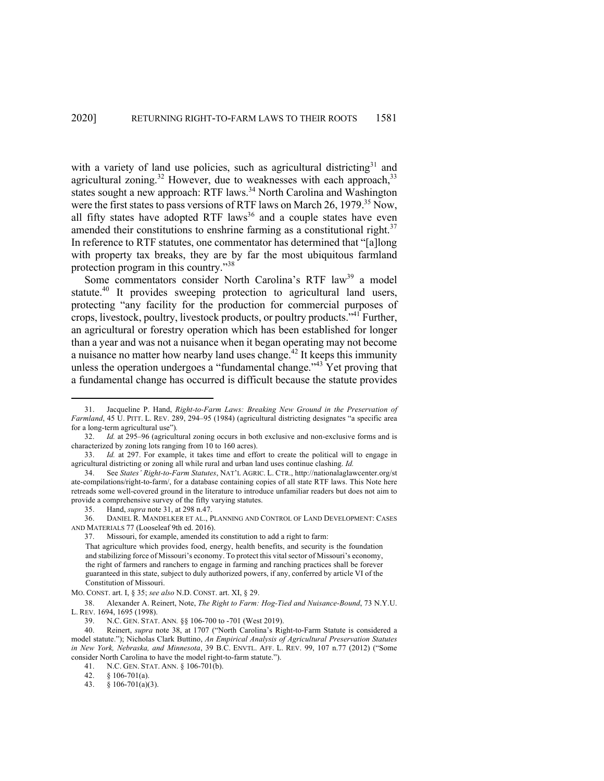with a variety of land use policies, such as agricultural districting $31$  and agricultural zoning.<sup>32</sup> However, due to weaknesses with each approach,<sup>33</sup> states sought a new approach: RTF laws.<sup>34</sup> North Carolina and Washington were the first states to pass versions of RTF laws on March  $26$ , 1979.<sup>35</sup> Now, all fifty states have adopted RTF laws<sup>36</sup> and a couple states have even amended their constitutions to enshrine farming as a constitutional right.<sup>37</sup> In reference to RTF statutes, one commentator has determined that "[a]long with property tax breaks, they are by far the most ubiquitous farmland protection program in this country."<sup>38</sup>

Some commentators consider North Carolina's RTF law<sup>39</sup> a model statute.<sup>40</sup> It provides sweeping protection to agricultural land users, protecting "any facility for the production for commercial purposes of crops, livestock, poultry, livestock products, or poultry products."41 Further, an agricultural or forestry operation which has been established for longer than a year and was not a nuisance when it began operating may not become a nuisance no matter how nearby land uses change.<sup>42</sup> It keeps this immunity unless the operation undergoes a "fundamental change."43 Yet proving that a fundamental change has occurred is difficult because the statute provides

<sup>31.</sup> Jacqueline P. Hand, *Right-to-Farm Laws: Breaking New Ground in the Preservation of Farmland*, 45 U. PITT. L. REV. 289, 294–95 (1984) (agricultural districting designates "a specific area for a long-term agricultural use")*.*

<sup>32.</sup> *Id.* at 295–96 (agricultural zoning occurs in both exclusive and non-exclusive forms and is characterized by zoning lots ranging from 10 to 160 acres).

<sup>33.</sup> *Id.* at 297. For example, it takes time and effort to create the political will to engage in agricultural districting or zoning all while rural and urban land uses continue clashing. *Id.* 

<sup>34.</sup> See *States' Right-to-Farm Statutes*, NAT'L AGRIC. L. CTR., http://nationalaglawcenter.org/st ate-compilations/right-to-farm/, for a database containing copies of all state RTF laws. This Note here retreads some well-covered ground in the literature to introduce unfamiliar readers but does not aim to provide a comprehensive survey of the fifty varying statutes.

<sup>35.</sup> Hand, *supra* note 31, at 298 n.47.

<sup>36.</sup> DANIEL R. MANDELKER ET AL., PLANNING AND CONTROL OF LAND DEVELOPMENT: CASES AND MATERIALS 77 (Looseleaf 9th ed. 2016).

<sup>37.</sup> Missouri, for example, amended its constitution to add a right to farm:

That agriculture which provides food, energy, health benefits, and security is the foundation and stabilizing force of Missouri's economy. To protect this vital sector of Missouri's economy, the right of farmers and ranchers to engage in farming and ranching practices shall be forever guaranteed in this state, subject to duly authorized powers, if any, conferred by article VI of the Constitution of Missouri.

MO. CONST. art. I, § 35; *see also* N.D. CONST. art. XI, § 29.

<sup>38.</sup> Alexander A. Reinert, Note, *The Right to Farm: Hog-Tied and Nuisance-Bound*, 73 N.Y.U. L. REV. 1694, 1695 (1998).

<sup>39.</sup> N.C. GEN. STAT. ANN*.* §§ 106-700 to -701 (West 2019).

<sup>40.</sup> Reinert, *supra* note 38, at 1707 ("North Carolina's Right-to-Farm Statute is considered a model statute."); Nicholas Clark Buttino, *An Empirical Analysis of Agricultural Preservation Statutes in New York, Nebraska, and Minnesota*, 39 B.C. ENVTL. AFF. L. REV. 99, 107 n.77 (2012) ("Some consider North Carolina to have the model right-to-farm statute.").

<sup>41.</sup> N.C. GEN. STAT. ANN. § 106-701(b).

<sup>42.</sup> § 106-701(a).

<sup>43.</sup> § 106-701(a)(3).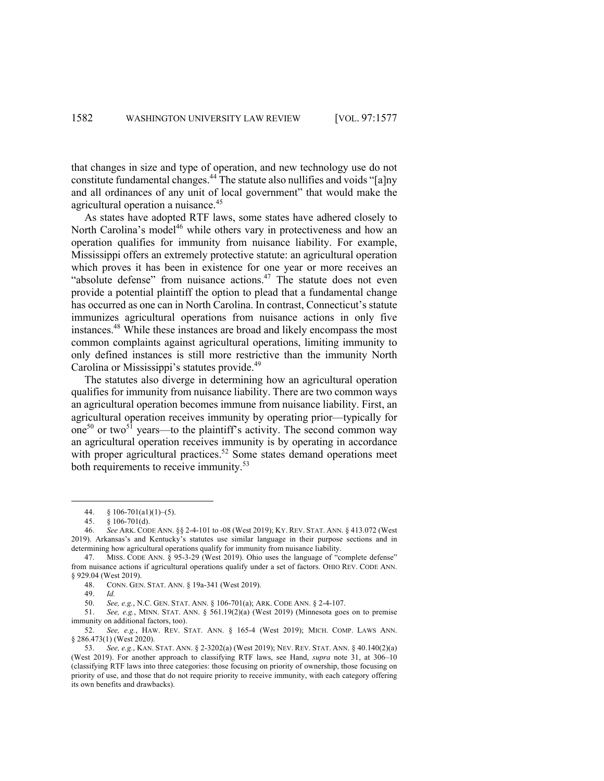that changes in size and type of operation, and new technology use do not constitute fundamental changes.44 The statute also nullifies and voids "[a]ny and all ordinances of any unit of local government" that would make the agricultural operation a nuisance.<sup>45</sup>

As states have adopted RTF laws, some states have adhered closely to North Carolina's model<sup>46</sup> while others vary in protectiveness and how an operation qualifies for immunity from nuisance liability. For example, Mississippi offers an extremely protective statute: an agricultural operation which proves it has been in existence for one year or more receives an "absolute defense" from nuisance actions. $47$  The statute does not even provide a potential plaintiff the option to plead that a fundamental change has occurred as one can in North Carolina. In contrast, Connecticut's statute immunizes agricultural operations from nuisance actions in only five instances.48 While these instances are broad and likely encompass the most common complaints against agricultural operations, limiting immunity to only defined instances is still more restrictive than the immunity North Carolina or Mississippi's statutes provide.<sup>49</sup>

The statutes also diverge in determining how an agricultural operation qualifies for immunity from nuisance liability. There are two common ways an agricultural operation becomes immune from nuisance liability. First, an agricultural operation receives immunity by operating prior—typically for one<sup>50</sup> or two<sup>51</sup> years—to the plaintiff's activity. The second common way an agricultural operation receives immunity is by operating in accordance with proper agricultural practices.<sup>52</sup> Some states demand operations meet both requirements to receive immunity.<sup>53</sup>

<sup>44.</sup>  $§ 106-701(a1)(1)-(5)$ .

<sup>45.</sup> § 106-701(d).

<sup>46.</sup> *See* ARK. CODE ANN. §§ 2-4-101 to -08 (West 2019); KY. REV. STAT. ANN. § 413.072 (West 2019). Arkansas's and Kentucky's statutes use similar language in their purpose sections and in determining how agricultural operations qualify for immunity from nuisance liability.

<sup>47.</sup> MISS. CODE ANN. § 95-3-29 (West 2019). Ohio uses the language of "complete defense" from nuisance actions if agricultural operations qualify under a set of factors. OHIO REV. CODE ANN. § 929.04 (West 2019).

<sup>48.</sup> CONN. GEN. STAT. ANN. § 19a-341 (West 2019).

<sup>49.</sup> *Id.*

<sup>50.</sup> *See, e.g.*, N.C. GEN. STAT. ANN. § 106-701(a); ARK. CODE ANN. § 2-4-107.

<sup>51.</sup> *See, e.g.*, MINN. STAT. ANN. § 561.19(2)(a) (West 2019) (Minnesota goes on to premise immunity on additional factors, too).

<sup>52.</sup> *See, e.g.*, HAW. REV. STAT. ANN. § 165-4 (West 2019); MICH. COMP. LAWS ANN. § 286.473(1) (West 2020).

<sup>53.</sup> *See, e.g.*, KAN. STAT. ANN. § 2-3202(a) (West 2019); NEV. REV. STAT. ANN. § 40.140(2)(a) (West 2019). For another approach to classifying RTF laws, see Hand, *supra* note 31, at 306–10 (classifying RTF laws into three categories: those focusing on priority of ownership, those focusing on priority of use, and those that do not require priority to receive immunity, with each category offering its own benefits and drawbacks).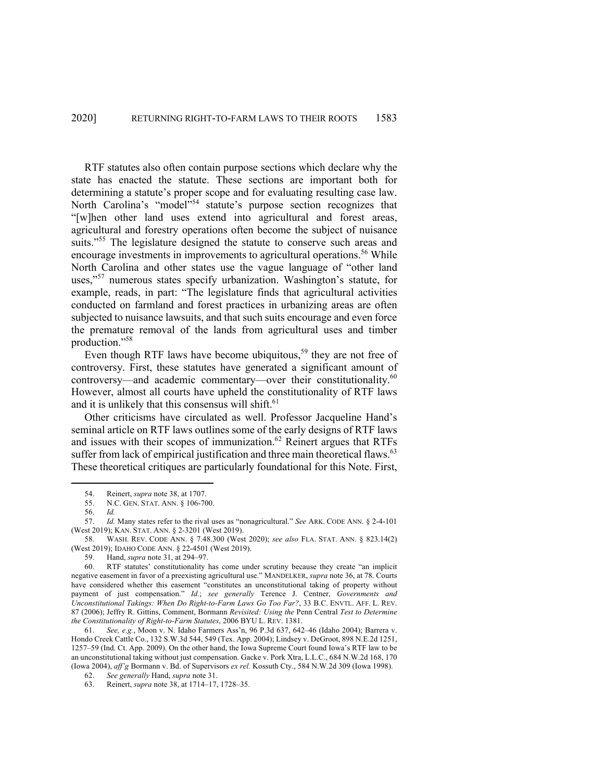RTF statutes also often contain purpose sections which declare why the state has enacted the statute. These sections are important both for determining a statute's proper scope and for evaluating resulting case law. North Carolina's "model"<sup>54</sup> statute's purpose section recognizes that "[w]hen other land uses extend into agricultural and forest areas, agricultural and forestry operations often become the subject of nuisance suits."<sup>55</sup> The legislature designed the statute to conserve such areas and encourage investments in improvements to agricultural operations.<sup>56</sup> While North Carolina and other states use the vague language of "other land uses,"<sup>57</sup> numerous states specify urbanization. Washington's statute, for example, reads, in part: "The legislature finds that agricultural activities conducted on farmland and forest practices in urbanizing areas are often subjected to nuisance lawsuits, and that such suits encourage and even force the premature removal of the lands from agricultural uses and timber production."<sup>58</sup>

Even though RTF laws have become ubiquitous,<sup>59</sup> they are not free of controversy. First, these statutes have generated a significant amount of controversy—and academic commentary—over their constitutionality.<sup>60</sup> However, almost all courts have upheld the constitutionality of RTF laws and it is unlikely that this consensus will shift.<sup>61</sup>

Other criticisms have circulated as well. Professor Jacqueline Hand's seminal article on RTF laws outlines some of the early designs of RTF laws and issues with their scopes of immunization. <sup>62</sup> Reinert argues that RTFs suffer from lack of empirical justification and three main theoretical flaws.<sup>63</sup> These theoretical critiques are particularly foundational for this Note. First,

61. *See, e.g.*, Moon v. N. Idaho Farmers Ass'n, 96 P.3d 637, 642–46 (Idaho 2004); Barrera v. Hondo Creek Cattle Co., 132 S.W.3d 544, 549 (Tex. App. 2004); Lindsey v. DeGroot, 898 N.E.2d 1251, 1257–59 (Ind. Ct. App. 2009). On the other hand, the Iowa Supreme Court found Iowa's RTF law to be an unconstitutional taking without just compensation. Gacke v. Pork Xtra, L.L.C., 684 N.W.2d 168, 170 (Iowa 2004), *aff'g* Bormann v. Bd. of Supervisors *ex rel.* Kossuth Cty., 584 N.W.2d 309 (Iowa 1998).

<sup>54.</sup> Reinert, *supra* note 38, at 1707.<br>55. N.C. GEN. STAT. ANN. 8 106-70

<sup>55.</sup> N.C. GEN. STAT. ANN. § 106-700.

<sup>56.</sup> *Id.*

<sup>57.</sup> *Id.* Many states refer to the rival uses as "nonagricultural." *See* ARK. CODE ANN. § 2-4-101 (West 2019); KAN. STAT. ANN. § 2-3201 (West 2019).

<sup>58.</sup> WASH. REV. CODE ANN. § 7.48.300 (West 2020); *see also* FLA. STAT. ANN. § 823.14(2) (West 2019); IDAHO CODE ANN. § 22-4501 (West 2019).<br>59. Hand, *supra* note 31, at 294–97.

<sup>59.</sup> Hand, *supra* note 31, at 294–97.

<sup>60.</sup> RTF statutes' constitutionality has come under scrutiny because they create "an implicit negative easement in favor of a preexisting agricultural use." MANDELKER, *supra* note 36, at 78. Courts have considered whether this easement "constitutes an unconstitutional taking of property without payment of just compensation." *Id.*; *see generally* Terence J. Centner, *Governments and Unconstitutional Takings: When Do Right-to-Farm Laws Go Too Far?*, 33 B.C. ENVTL. AFF. L. REV. 87 (2006); Jeffry R. Gittins, Comment, Bormann *Revisited: Using the* Penn Central *Test to Determine the Constitutionality of Right-to-Farm Statutes*, 2006 BYU L. REV. 1381.

<sup>62.</sup> *See generally* Hand, *supra* note 31.

<sup>63.</sup> Reinert, *supra* note 38, at 1714–17, 1728–35.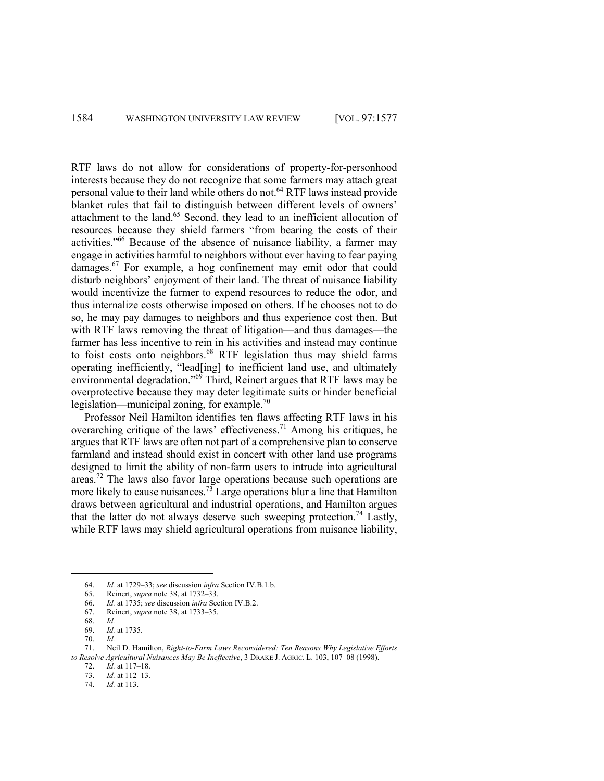RTF laws do not allow for considerations of property-for-personhood interests because they do not recognize that some farmers may attach great personal value to their land while others do not.<sup>64</sup> RTF laws instead provide blanket rules that fail to distinguish between different levels of owners' attachment to the land.<sup>65</sup> Second, they lead to an inefficient allocation of resources because they shield farmers "from bearing the costs of their activities."66 Because of the absence of nuisance liability, a farmer may engage in activities harmful to neighbors without ever having to fear paying damages.<sup>67</sup> For example, a hog confinement may emit odor that could disturb neighbors' enjoyment of their land. The threat of nuisance liability would incentivize the farmer to expend resources to reduce the odor, and thus internalize costs otherwise imposed on others. If he chooses not to do so, he may pay damages to neighbors and thus experience cost then. But with RTF laws removing the threat of litigation—and thus damages—the farmer has less incentive to rein in his activities and instead may continue to foist costs onto neighbors.<sup>68</sup> RTF legislation thus may shield farms operating inefficiently, "lead[ing] to inefficient land use, and ultimately environmental degradation."<sup>69</sup> Third, Reinert argues that RTF laws may be overprotective because they may deter legitimate suits or hinder beneficial legislation—municipal zoning, for example.<sup>70</sup>

Professor Neil Hamilton identifies ten flaws affecting RTF laws in his overarching critique of the laws' effectiveness.<sup>71</sup> Among his critiques, he argues that RTF laws are often not part of a comprehensive plan to conserve farmland and instead should exist in concert with other land use programs designed to limit the ability of non-farm users to intrude into agricultural areas.<sup>72</sup> The laws also favor large operations because such operations are more likely to cause nuisances.<sup>73</sup> Large operations blur a line that Hamilton draws between agricultural and industrial operations, and Hamilton argues that the latter do not always deserve such sweeping protection.<sup>74</sup> Lastly, while RTF laws may shield agricultural operations from nuisance liability,

<sup>64.</sup> *Id.* at 1729–33; *see* discussion *infra* Section IV.B.1.b.

<sup>65.</sup> Reinert, *supra* note 38, at 1732–33.

<sup>66.</sup> *Id.* at 1735; *see* discussion *infra* Section IV.B.2.

<sup>67.</sup> Reinert, *supra* note 38, at 1733–35.

<sup>68.</sup> *Id.*

<sup>69.</sup> *Id.* at 1735.

<sup>70.</sup> *Id.*

<sup>71.</sup> Neil D. Hamilton, *Right-to-Farm Laws Reconsidered: Ten Reasons Why Legislative Efforts to Resolve Agricultural Nuisances May Be Ineffective*, 3 DRAKE J. AGRIC. L. 103, 107–08 (1998).

<sup>72.</sup> *Id.* at 117–18.

<sup>73.</sup> *Id.* at 112–13.

<sup>74.</sup> *Id.* at 113.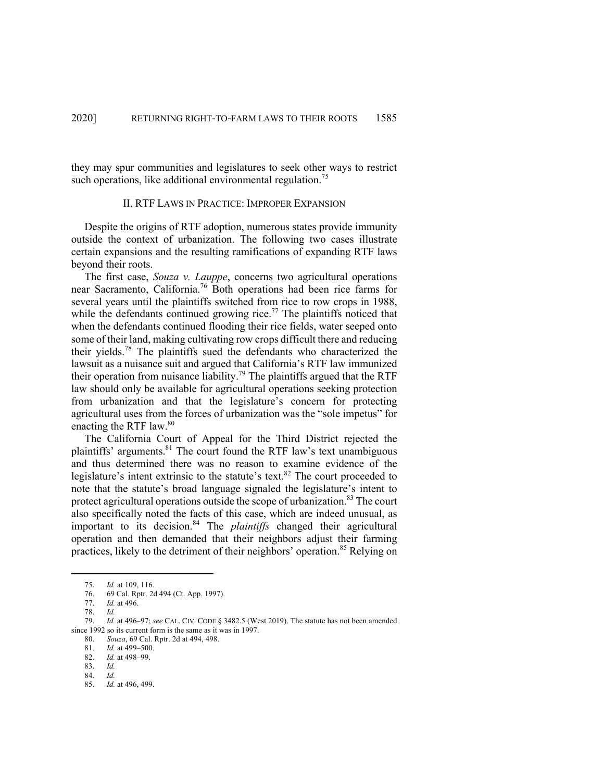they may spur communities and legislatures to seek other ways to restrict such operations, like additional environmental regulation.<sup>75</sup>

## II. RTF LAWS IN PRACTICE: IMPROPER EXPANSION

Despite the origins of RTF adoption, numerous states provide immunity outside the context of urbanization. The following two cases illustrate certain expansions and the resulting ramifications of expanding RTF laws beyond their roots.

The first case, *Souza v. Lauppe*, concerns two agricultural operations near Sacramento, California.<sup>76</sup> Both operations had been rice farms for several years until the plaintiffs switched from rice to row crops in 1988, while the defendants continued growing rice.<sup>77</sup> The plaintiffs noticed that when the defendants continued flooding their rice fields, water seeped onto some of their land, making cultivating row crops difficult there and reducing their yields. <sup>78</sup> The plaintiffs sued the defendants who characterized the lawsuit as a nuisance suit and argued that California's RTF law immunized their operation from nuisance liability.<sup>79</sup> The plaintiffs argued that the RTF law should only be available for agricultural operations seeking protection from urbanization and that the legislature's concern for protecting agricultural uses from the forces of urbanization was the "sole impetus" for enacting the RTF law.80

The California Court of Appeal for the Third District rejected the plaintiffs' arguments.<sup>81</sup> The court found the RTF law's text unambiguous and thus determined there was no reason to examine evidence of the legislature's intent extrinsic to the statute's text.<sup>82</sup> The court proceeded to note that the statute's broad language signaled the legislature's intent to protect agricultural operations outside the scope of urbanization. <sup>83</sup> The court also specifically noted the facts of this case, which are indeed unusual, as important to its decision. <sup>84</sup> The *plaintiffs* changed their agricultural operation and then demanded that their neighbors adjust their farming practices, likely to the detriment of their neighbors' operation. <sup>85</sup> Relying on

84. *Id.*

<sup>75.</sup> *Id.* at 109, 116.

<sup>76.</sup> 69 Cal. Rptr. 2d 494 (Ct. App. 1997).

<sup>77.</sup> *Id.* at 496.

<sup>78.</sup> *Id.*

<sup>79.</sup> *Id.* at 496–97; *see* CAL. CIV. CODE § 3482.5 (West 2019). The statute has not been amended since 1992 so its current form is the same as it was in 1997.

<sup>80.</sup> *Souza*, 69 Cal. Rptr. 2d at 494, 498.

<sup>81.</sup> *Id.* at 499–500.

<sup>82.</sup> *Id.* at 498–99.

<sup>83.</sup> *Id.*

<sup>85.</sup> *Id.* at 496, 499.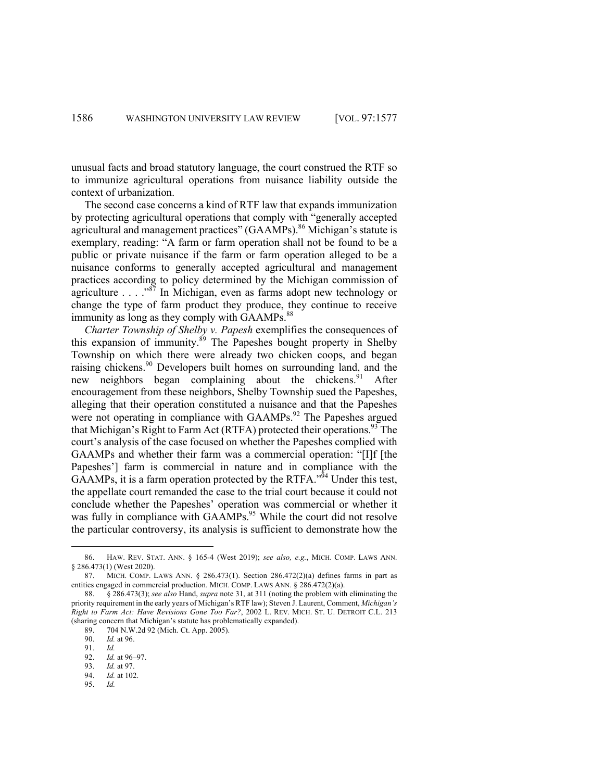unusual facts and broad statutory language, the court construed the RTF so to immunize agricultural operations from nuisance liability outside the context of urbanization.

The second case concerns a kind of RTF law that expands immunization by protecting agricultural operations that comply with "generally accepted agricultural and management practices" (GAAMPs). <sup>86</sup> Michigan's statute is exemplary, reading: "A farm or farm operation shall not be found to be a public or private nuisance if the farm or farm operation alleged to be a nuisance conforms to generally accepted agricultural and management practices according to policy determined by the Michigan commission of agriculture . . . ."<sup>87</sup> In Michigan, even as farms adopt new technology or change the type of farm product they produce, they continue to receive immunity as long as they comply with GAAMPs.<sup>88</sup>

*Charter Township of Shelby v. Papesh* exemplifies the consequences of this expansion of immunity.<sup>89</sup> The Papeshes bought property in Shelby Township on which there were already two chicken coops, and began raising chickens.<sup>90</sup> Developers built homes on surrounding land, and the new neighbors began complaining about the chickens.<sup>91</sup> After encouragement from these neighbors, Shelby Township sued the Papeshes, alleging that their operation constituted a nuisance and that the Papeshes were not operating in compliance with GAAMPs.<sup>92</sup> The Papeshes argued that Michigan's Right to Farm Act (RTFA) protected their operations.<sup>93</sup> The court's analysis of the case focused on whether the Papeshes complied with GAAMPs and whether their farm was a commercial operation: "[I]f [the Papeshes'] farm is commercial in nature and in compliance with the  $GAAMPs$ , it is a farm operation protected by the RTFA.<sup> $n\overline{9}4$ </sup> Under this test, the appellate court remanded the case to the trial court because it could not conclude whether the Papeshes' operation was commercial or whether it was fully in compliance with GAAMPs.<sup>95</sup> While the court did not resolve the particular controversy, its analysis is sufficient to demonstrate how the

<sup>86.</sup> HAW. REV. STAT. ANN. § 165-4 (West 2019); *see also, e.g.*, MICH. COMP. LAWS ANN. § 286.473(1) (West 2020).

<sup>87.</sup> MICH. COMP. LAWS ANN.  $\S$  286.473(1). Section 286.472(2)(a) defines farms in part as entities engaged in commercial production. MICH. COMP. LAWS ANN. § 286.472(2)(a).

<sup>88.</sup> § 286.473(3); *see also* Hand, *supra* note 31, at 311 (noting the problem with eliminating the priority requirement in the early years of Michigan's RTF law); Steven J. Laurent, Comment, *Michigan's Right to Farm Act: Have Revisions Gone Too Far?*, 2002 L. REV. MICH. ST. U. DETROIT C.L. 213 (sharing concern that Michigan's statute has problematically expanded).

<sup>89.</sup> 704 N.W.2d 92 (Mich. Ct. App. 2005).

<sup>90.</sup> *Id.* at 96.

<sup>91.</sup> *Id.* 92. *Id.* at 96–97.

<sup>93.</sup> *Id.* at 97. 94. *Id.* at 102.

<sup>95.</sup> *Id.*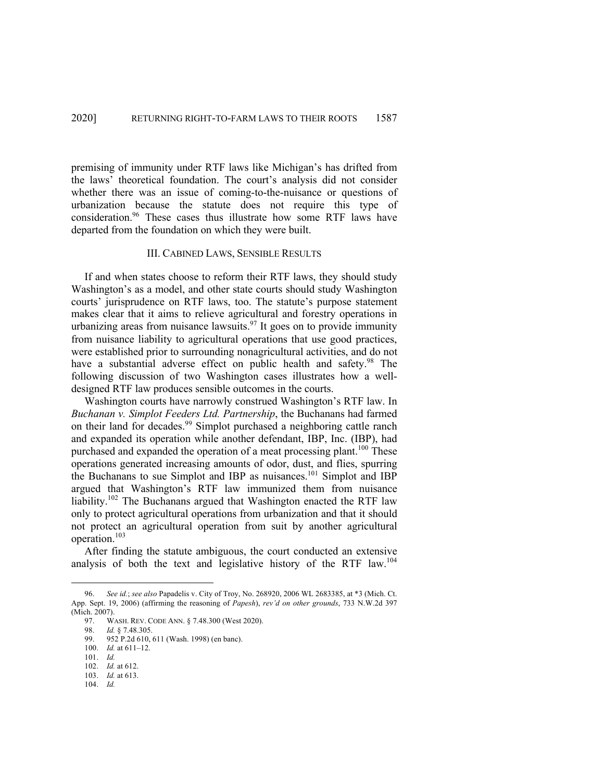premising of immunity under RTF laws like Michigan's has drifted from the laws' theoretical foundation. The court's analysis did not consider whether there was an issue of coming-to-the-nuisance or questions of urbanization because the statute does not require this type of consideration. <sup>96</sup> These cases thus illustrate how some RTF laws have departed from the foundation on which they were built.

#### III. CABINED LAWS, SENSIBLE RESULTS

If and when states choose to reform their RTF laws, they should study Washington's as a model, and other state courts should study Washington courts' jurisprudence on RTF laws, too. The statute's purpose statement makes clear that it aims to relieve agricultural and forestry operations in urbanizing areas from nuisance lawsuits.<sup>97</sup> It goes on to provide immunity from nuisance liability to agricultural operations that use good practices, were established prior to surrounding nonagricultural activities, and do not have a substantial adverse effect on public health and safety.<sup>98</sup> The following discussion of two Washington cases illustrates how a welldesigned RTF law produces sensible outcomes in the courts.

Washington courts have narrowly construed Washington's RTF law. In *Buchanan v. Simplot Feeders Ltd. Partnership*, the Buchanans had farmed on their land for decades.<sup>99</sup> Simplot purchased a neighboring cattle ranch and expanded its operation while another defendant, IBP, Inc. (IBP), had purchased and expanded the operation of a meat processing plant.<sup>100</sup> These operations generated increasing amounts of odor, dust, and flies, spurring the Buchanans to sue Simplot and IBP as nuisances. <sup>101</sup> Simplot and IBP argued that Washington's RTF law immunized them from nuisance liability.<sup>102</sup> The Buchanans argued that Washington enacted the RTF law only to protect agricultural operations from urbanization and that it should not protect an agricultural operation from suit by another agricultural operation.<sup>103</sup>

After finding the statute ambiguous, the court conducted an extensive analysis of both the text and legislative history of the RTF law.104

<sup>96.</sup> *See id.*; *see also* Papadelis v. City of Troy, No. 268920, 2006 WL 2683385, at \*3 (Mich. Ct. App. Sept. 19, 2006) (affirming the reasoning of *Papesh*), *rev'd on other grounds*, 733 N.W.2d 397 (Mich. 2007).

<sup>97.</sup> WASH. REV. CODE ANN. § 7.48.300 (West 2020).

<sup>98.</sup> *Id.* § 7.48.305.

<sup>99.</sup> 952 P.2d 610, 611 (Wash. 1998) (en banc).

<sup>100.</sup> *Id.* at 611–12.

<sup>101.</sup> *Id.*

<sup>102.</sup> *Id.* at 612.

<sup>103.</sup> *Id.* at 613.

<sup>104.</sup> *Id.*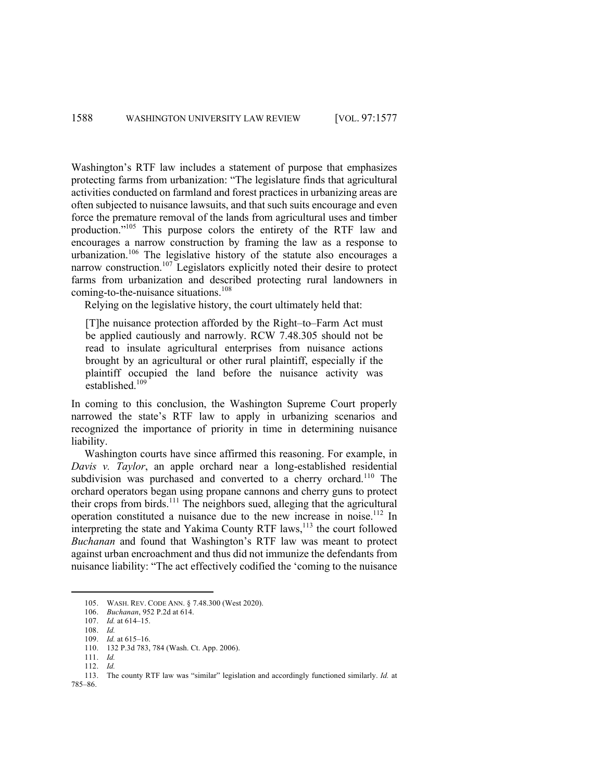Washington's RTF law includes a statement of purpose that emphasizes protecting farms from urbanization: "The legislature finds that agricultural activities conducted on farmland and forest practices in urbanizing areas are often subjected to nuisance lawsuits, and that such suits encourage and even force the premature removal of the lands from agricultural uses and timber production."105 This purpose colors the entirety of the RTF law and encourages a narrow construction by framing the law as a response to urbanization.<sup>106</sup> The legislative history of the statute also encourages a narrow construction.<sup>107</sup> Legislators explicitly noted their desire to protect farms from urbanization and described protecting rural landowners in coming-to-the-nuisance situations.<sup>108</sup>

Relying on the legislative history, the court ultimately held that:

[T]he nuisance protection afforded by the Right–to–Farm Act must be applied cautiously and narrowly. RCW 7.48.305 should not be read to insulate agricultural enterprises from nuisance actions brought by an agricultural or other rural plaintiff, especially if the plaintiff occupied the land before the nuisance activity was established.<sup>109</sup>

In coming to this conclusion, the Washington Supreme Court properly narrowed the state's RTF law to apply in urbanizing scenarios and recognized the importance of priority in time in determining nuisance liability.

Washington courts have since affirmed this reasoning. For example, in *Davis v. Taylor*, an apple orchard near a long-established residential subdivision was purchased and converted to a cherry orchard.<sup>110</sup> The orchard operators began using propane cannons and cherry guns to protect their crops from birds.<sup>111</sup> The neighbors sued, alleging that the agricultural operation constituted a nuisance due to the new increase in noise.112 In interpreting the state and Yakima County RTF laws,<sup>113</sup> the court followed *Buchanan* and found that Washington's RTF law was meant to protect against urban encroachment and thus did not immunize the defendants from nuisance liability: "The act effectively codified the 'coming to the nuisance

<sup>105.</sup> WASH. REV. CODE ANN. § 7.48.300 (West 2020).

<sup>106.</sup> *Buchanan*, 952 P.2d at 614.

<sup>107.</sup> *Id.* at 614–15.

<sup>108.</sup> *Id.*

<sup>109.</sup> *Id.* at 615–16.

<sup>110.</sup> 132 P.3d 783, 784 (Wash. Ct. App. 2006).

<sup>111.</sup> *Id.*

<sup>112.</sup> *Id.*

<sup>113.</sup> The county RTF law was "similar" legislation and accordingly functioned similarly. *Id.* at 785–86.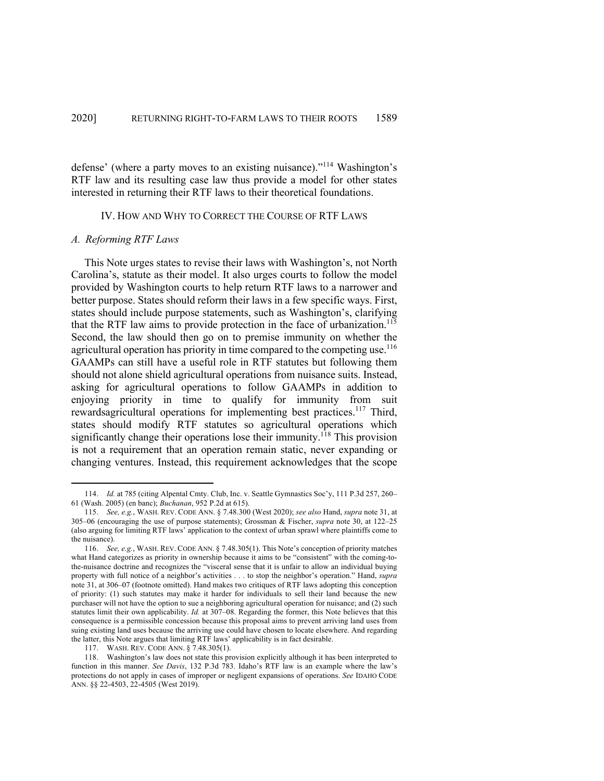defense' (where a party moves to an existing nuisance)."<sup>114</sup> Washington's RTF law and its resulting case law thus provide a model for other states interested in returning their RTF laws to their theoretical foundations.

## IV. HOW AND WHY TO CORRECT THE COURSE OF RTF LAWS

## *A. Reforming RTF Laws*

This Note urges states to revise their laws with Washington's, not North Carolina's, statute as their model. It also urges courts to follow the model provided by Washington courts to help return RTF laws to a narrower and better purpose. States should reform their laws in a few specific ways. First, states should include purpose statements, such as Washington's, clarifying that the RTF law aims to provide protection in the face of urbanization.<sup>115</sup> Second, the law should then go on to premise immunity on whether the agricultural operation has priority in time compared to the competing use.<sup>116</sup> GAAMPs can still have a useful role in RTF statutes but following them should not alone shield agricultural operations from nuisance suits. Instead, asking for agricultural operations to follow GAAMPs in addition to enjoying priority in time to qualify for immunity from suit rewardsagricultural operations for implementing best practices.<sup>117</sup> Third, states should modify RTF statutes so agricultural operations which significantly change their operations lose their immunity.<sup>118</sup> This provision is not a requirement that an operation remain static, never expanding or changing ventures. Instead, this requirement acknowledges that the scope

117. WASH. REV. CODE ANN. § 7.48.305(1).

<sup>114.</sup> *Id.* at 785 (citing Alpental Cmty. Club, Inc. v. Seattle Gymnastics Soc'y, 111 P.3d 257, 260– 61 (Wash. 2005) (en banc); *Buchanan*, 952 P.2d at 615).

<sup>115.</sup> *See, e.g.*, WASH. REV. CODE ANN. § 7.48.300 (West 2020); *see also* Hand, *supra* note 31, at 305–06 (encouraging the use of purpose statements); Grossman & Fischer, *supra* note 30, at 122–25 (also arguing for limiting RTF laws' application to the context of urban sprawl where plaintiffs come to the nuisance).

<sup>116.</sup> *See, e.g.*, WASH. REV. CODE ANN. § 7.48.305(1). This Note's conception of priority matches what Hand categorizes as priority in ownership because it aims to be "consistent" with the coming-tothe-nuisance doctrine and recognizes the "visceral sense that it is unfair to allow an individual buying property with full notice of a neighbor's activities . . . to stop the neighbor's operation." Hand, *supra*  note 31, at 306–07 (footnote omitted). Hand makes two critiques of RTF laws adopting this conception of priority: (1) such statutes may make it harder for individuals to sell their land because the new purchaser will not have the option to sue a neighboring agricultural operation for nuisance; and (2) such statutes limit their own applicability. *Id.* at 307–08. Regarding the former, this Note believes that this consequence is a permissible concession because this proposal aims to prevent arriving land uses from suing existing land uses because the arriving use could have chosen to locate elsewhere. And regarding the latter, this Note argues that limiting RTF laws' applicability is in fact desirable.

<sup>118.</sup> Washington's law does not state this provision explicitly although it has been interpreted to function in this manner. *See Davis*, 132 P.3d 783. Idaho's RTF law is an example where the law's protections do not apply in cases of improper or negligent expansions of operations. *See* IDAHO CODE ANN. §§ 22-4503, 22-4505 (West 2019).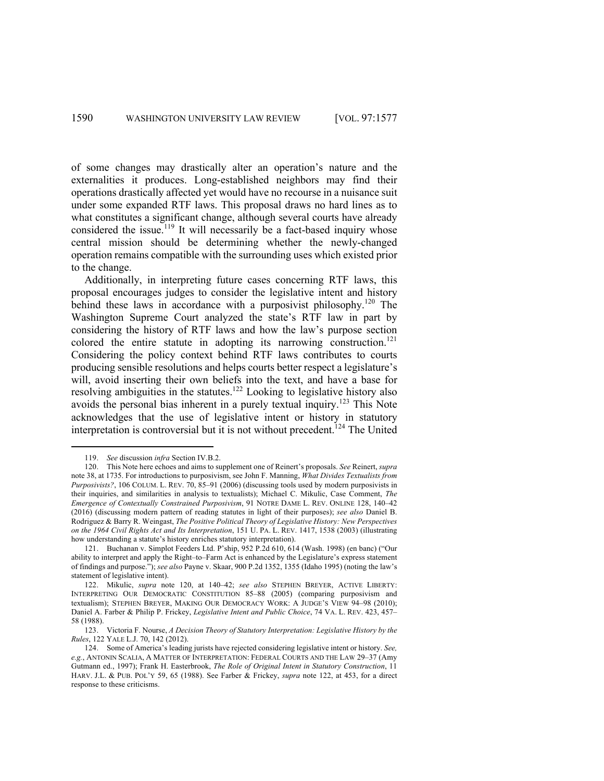of some changes may drastically alter an operation's nature and the externalities it produces. Long-established neighbors may find their operations drastically affected yet would have no recourse in a nuisance suit under some expanded RTF laws. This proposal draws no hard lines as to what constitutes a significant change, although several courts have already considered the issue.<sup>119</sup> It will necessarily be a fact-based inquiry whose central mission should be determining whether the newly-changed operation remains compatible with the surrounding uses which existed prior to the change.

Additionally, in interpreting future cases concerning RTF laws, this proposal encourages judges to consider the legislative intent and history behind these laws in accordance with a purposivist philosophy.<sup>120</sup> The Washington Supreme Court analyzed the state's RTF law in part by considering the history of RTF laws and how the law's purpose section colored the entire statute in adopting its narrowing construction. 121 Considering the policy context behind RTF laws contributes to courts producing sensible resolutions and helps courts better respect a legislature's will, avoid inserting their own beliefs into the text, and have a base for resolving ambiguities in the statutes.<sup>122</sup> Looking to legislative history also avoids the personal bias inherent in a purely textual inquiry.<sup>123</sup> This Note acknowledges that the use of legislative intent or history in statutory interpretation is controversial but it is not without precedent. <sup>124</sup> The United

<sup>119.</sup> *See* discussion *infra* Section IV.B.2.

<sup>120.</sup> This Note here echoes and aims to supplement one of Reinert's proposals. *See* Reinert, *supra*  note 38, at 1735. For introductions to purposivism, see John F. Manning, *What Divides Textualists from Purposivists?*, 106 COLUM. L. REV. 70, 85–91 (2006) (discussing tools used by modern purposivists in their inquiries, and similarities in analysis to textualists); Michael C. Mikulic, Case Comment, *The Emergence of Contextually Constrained Purposivism*, 91 NOTRE DAME L. REV. ONLINE 128, 140–42 (2016) (discussing modern pattern of reading statutes in light of their purposes); *see also* Daniel B. Rodriguez & Barry R. Weingast, *The Positive Political Theory of Legislative History: New Perspectives on the 1964 Civil Rights Act and Its Interpretation*, 151 U. PA. L. REV. 1417, 1538 (2003) (illustrating how understanding a statute's history enriches statutory interpretation).

<sup>121.</sup> Buchanan v. Simplot Feeders Ltd. P'ship, 952 P.2d 610, 614 (Wash. 1998) (en banc) ("Our ability to interpret and apply the Right–to–Farm Act is enhanced by the Legislature's express statement of findings and purpose."); *see also* Payne v. Skaar, 900 P.2d 1352, 1355 (Idaho 1995) (noting the law's statement of legislative intent).

<sup>122.</sup> Mikulic, *supra* note 120, at 140–42; *see also* STEPHEN BREYER, ACTIVE LIBERTY: INTERPRETING OUR DEMOCRATIC CONSTITUTION 85–88 (2005) (comparing purposivism and textualism); STEPHEN BREYER, MAKING OUR DEMOCRACY WORK: A JUDGE'S VIEW 94–98 (2010); Daniel A. Farber & Philip P. Frickey, *Legislative Intent and Public Choice*, 74 VA. L. REV. 423, 457– 58 (1988).

<sup>123.</sup> Victoria F. Nourse, *A Decision Theory of Statutory Interpretation: Legislative History by the Rules*, 122 YALE L.J. 70, 142 (2012).

<sup>124.</sup> Some of America's leading jurists have rejected considering legislative intent or history. *See, e.g.*, ANTONIN SCALIA, A MATTER OF INTERPRETATION: FEDERAL COURTS AND THE LAW 29–37 (Amy Gutmann ed., 1997); Frank H. Easterbrook, *The Role of Original Intent in Statutory Construction*, 11 HARV. J.L. & PUB. POL'Y 59, 65 (1988). See Farber & Frickey, *supra* note 122, at 453, for a direct response to these criticisms.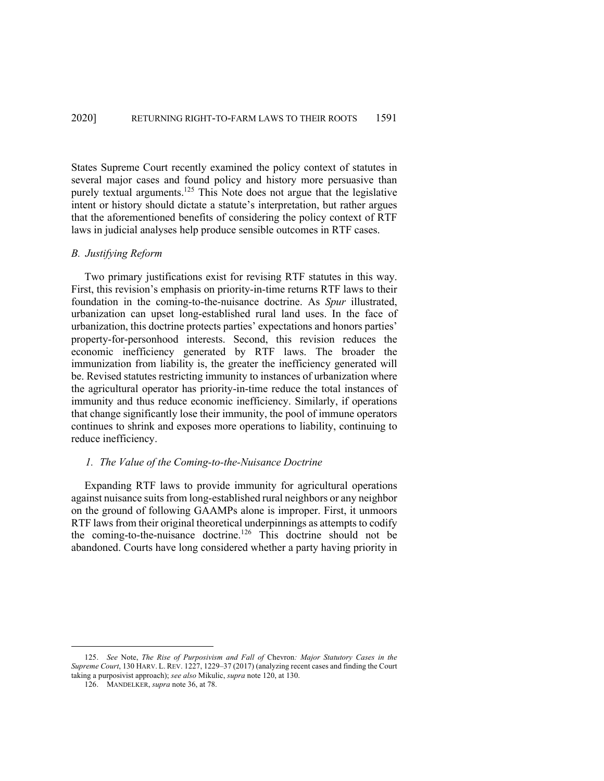States Supreme Court recently examined the policy context of statutes in several major cases and found policy and history more persuasive than purely textual arguments.125 This Note does not argue that the legislative intent or history should dictate a statute's interpretation, but rather argues that the aforementioned benefits of considering the policy context of RTF laws in judicial analyses help produce sensible outcomes in RTF cases.

#### *B. Justifying Reform*

Two primary justifications exist for revising RTF statutes in this way. First, this revision's emphasis on priority-in-time returns RTF laws to their foundation in the coming-to-the-nuisance doctrine. As *Spur* illustrated, urbanization can upset long-established rural land uses. In the face of urbanization, this doctrine protects parties' expectations and honors parties' property-for-personhood interests. Second, this revision reduces the economic inefficiency generated by RTF laws. The broader the immunization from liability is, the greater the inefficiency generated will be. Revised statutes restricting immunity to instances of urbanization where the agricultural operator has priority-in-time reduce the total instances of immunity and thus reduce economic inefficiency. Similarly, if operations that change significantly lose their immunity, the pool of immune operators continues to shrink and exposes more operations to liability, continuing to reduce inefficiency.

## *1. The Value of the Coming-to-the-Nuisance Doctrine*

Expanding RTF laws to provide immunity for agricultural operations against nuisance suits from long-established rural neighbors or any neighbor on the ground of following GAAMPs alone is improper. First, it unmoors RTF laws from their original theoretical underpinnings as attempts to codify the coming-to-the-nuisance doctrine.<sup>126</sup> This doctrine should not be abandoned. Courts have long considered whether a party having priority in

<sup>125.</sup> *See* Note, *The Rise of Purposivism and Fall of* Chevron*: Major Statutory Cases in the Supreme Court*, 130 HARV. L. REV. 1227, 1229–37 (2017) (analyzing recent cases and finding the Court taking a purposivist approach); *see also* Mikulic, *supra* note 120, at 130.

<sup>126.</sup> MANDELKER, *supra* note 36, at 78.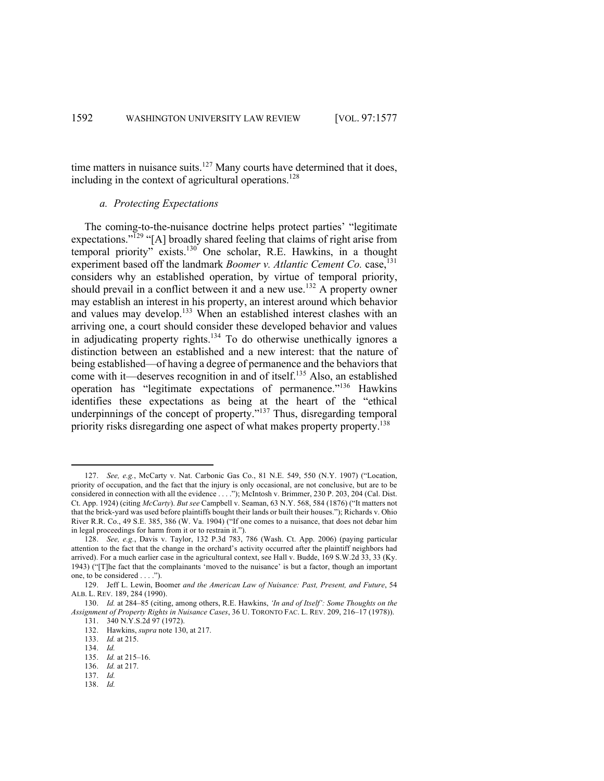time matters in nuisance suits.<sup>127</sup> Many courts have determined that it does, including in the context of agricultural operations. 128

# *a. Protecting Expectations*

The coming-to-the-nuisance doctrine helps protect parties' "legitimate expectations."<sup>129</sup> "[A] broadly shared feeling that claims of right arise from temporal priority" exists.130 One scholar, R.E. Hawkins, in a thought experiment based off the landmark *Boomer v. Atlantic Cement Co.* case, 131 considers why an established operation, by virtue of temporal priority, should prevail in a conflict between it and a new use.<sup>132</sup> A property owner may establish an interest in his property, an interest around which behavior and values may develop.<sup>133</sup> When an established interest clashes with an arriving one, a court should consider these developed behavior and values in adjudicating property rights.<sup>134</sup> To do otherwise unethically ignores a distinction between an established and a new interest: that the nature of being established—of having a degree of permanence and the behaviors that come with it—deserves recognition in and of itself. <sup>135</sup> Also, an established operation has "legitimate expectations of permanence."136 Hawkins identifies these expectations as being at the heart of the "ethical underpinnings of the concept of property."<sup>137</sup> Thus, disregarding temporal priority risks disregarding one aspect of what makes property property.<sup>138</sup>

138. *Id.*

<sup>127.</sup> *See, e.g.*, McCarty v. Nat. Carbonic Gas Co., 81 N.E. 549, 550 (N.Y. 1907) ("Location, priority of occupation, and the fact that the injury is only occasional, are not conclusive, but are to be considered in connection with all the evidence . . . ."); McIntosh v. Brimmer, 230 P. 203, 204 (Cal. Dist. Ct. App. 1924) (citing *McCarty*). *But see* Campbell v. Seaman, 63 N.Y. 568, 584 (1876) ("It matters not that the brick-yard was used before plaintiffs bought their lands or built their houses."); Richards v. Ohio River R.R. Co., 49 S.E. 385, 386 (W. Va. 1904) ("If one comes to a nuisance, that does not debar him in legal proceedings for harm from it or to restrain it.").

<sup>128.</sup> *See, e.g.*, Davis v. Taylor, 132 P.3d 783, 786 (Wash. Ct. App. 2006) (paying particular attention to the fact that the change in the orchard's activity occurred after the plaintiff neighbors had arrived). For a much earlier case in the agricultural context, see Hall v. Budde, 169 S.W.2d 33, 33 (Ky. 1943) ("[T]he fact that the complainants 'moved to the nuisance' is but a factor, though an important one, to be considered . . . .").

<sup>129.</sup> Jeff L. Lewin, Boomer *and the American Law of Nuisance: Past, Present, and Future*, 54 ALB. L. REV. 189, 284 (1990).

<sup>130.</sup> *Id.* at 284–85 (citing, among others, R.E. Hawkins, *'In and of Itself': Some Thoughts on the Assignment of Property Rights in Nuisance Cases*, 36 U. TORONTO FAC. L. REV. 209, 216–17 (1978)). 131. 340 N.Y.S.2d 97 (1972).

<sup>132.</sup> Hawkins, *supra* note 130, at 217.

<sup>133.</sup> *Id.* at 215.

<sup>134.</sup> *Id.*

<sup>135.</sup> *Id.* at 215–16.

<sup>136.</sup> *Id.* at 217.

<sup>137.</sup> *Id.*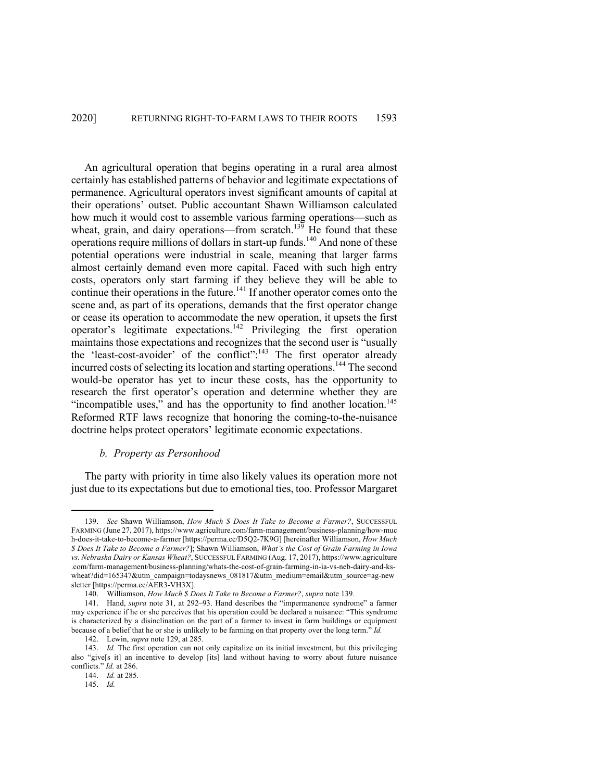An agricultural operation that begins operating in a rural area almost certainly has established patterns of behavior and legitimate expectations of permanence. Agricultural operators invest significant amounts of capital at their operations' outset. Public accountant Shawn Williamson calculated how much it would cost to assemble various farming operations—such as wheat, grain, and dairy operations—from scratch.<sup>139</sup> He found that these operations require millions of dollars in start-up funds.140 And none of these potential operations were industrial in scale, meaning that larger farms almost certainly demand even more capital. Faced with such high entry costs, operators only start farming if they believe they will be able to continue their operations in the future.<sup>141</sup> If another operator comes onto the scene and, as part of its operations, demands that the first operator change or cease its operation to accommodate the new operation, it upsets the first operator's legitimate expectations.<sup>142</sup> Privileging the first operation maintains those expectations and recognizes that the second user is "usually the 'least-cost-avoider' of the conflict":<sup>143</sup> The first operator already incurred costs of selecting its location and starting operations.<sup>144</sup> The second would-be operator has yet to incur these costs, has the opportunity to research the first operator's operation and determine whether they are "incompatible uses," and has the opportunity to find another location.<sup>145</sup> Reformed RTF laws recognize that honoring the coming-to-the-nuisance doctrine helps protect operators' legitimate economic expectations.

# *b. Property as Personhood*

The party with priority in time also likely values its operation more not just due to its expectations but due to emotional ties, too. Professor Margaret

<sup>139.</sup> *See* Shawn Williamson, *How Much \$ Does It Take to Become a Farmer?*, SUCCESSFUL FARMING (June 27, 2017), https://www.agriculture.com/farm-management/business-planning/how-muc h-does-it-take-to-become-a-farmer [https://perma.cc/D5Q2-7K9G] [hereinafter Williamson, *How Much \$ Does It Take to Become a Farmer?*]; Shawn Williamson, *What's the Cost of Grain Farming in Iowa vs. Nebraska Dairy or Kansas Wheat?*, SUCCESSFUL FARMING (Aug. 17, 2017), https://www.agriculture .com/farm-management/business-planning/whats-the-cost-of-grain-farming-in-ia-vs-neb-dairy-and-kswheat?did=165347&utm\_campaign=todaysnews\_081817&utm\_medium=email&utm\_source=ag-new sletter [https://perma.cc/AER3-VH3X].

<sup>140.</sup> Williamson, *How Much \$ Does It Take to Become a Farmer?*, *supra* note 139.

<sup>141.</sup> Hand, *supra* note 31, at 292–93. Hand describes the "impermanence syndrome" a farmer may experience if he or she perceives that his operation could be declared a nuisance: "This syndrome is characterized by a disinclination on the part of a farmer to invest in farm buildings or equipment because of a belief that he or she is unlikely to be farming on that property over the long term." *Id.*

<sup>142.</sup> Lewin, *supra* note 129, at 285.

<sup>143.</sup> *Id.* The first operation can not only capitalize on its initial investment, but this privileging also "give[s it] an incentive to develop [its] land without having to worry about future nuisance conflicts." *Id.* at 286.

<sup>144.</sup> *Id.* at 285.

<sup>145.</sup> *Id.*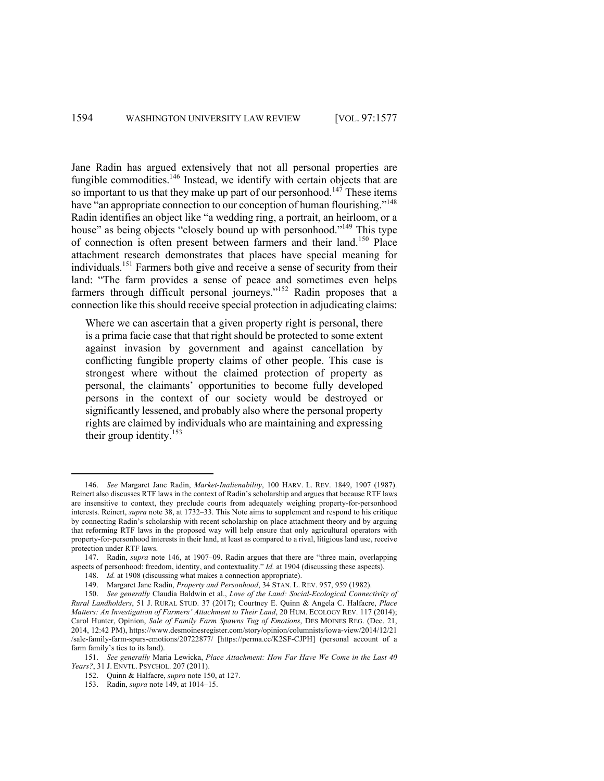Jane Radin has argued extensively that not all personal properties are fungible commodities.<sup>146</sup> Instead, we identify with certain objects that are so important to us that they make up part of our personhood.<sup>147</sup> These items have "an appropriate connection to our conception of human flourishing."<sup>148</sup> Radin identifies an object like "a wedding ring, a portrait, an heirloom, or a house" as being objects "closely bound up with personhood."<sup>149</sup> This type of connection is often present between farmers and their land.<sup>150</sup> Place attachment research demonstrates that places have special meaning for individuals. <sup>151</sup> Farmers both give and receive a sense of security from their land: "The farm provides a sense of peace and sometimes even helps farmers through difficult personal journeys."<sup>152</sup> Radin proposes that a connection like this should receive special protection in adjudicating claims:

Where we can ascertain that a given property right is personal, there is a prima facie case that that right should be protected to some extent against invasion by government and against cancellation by conflicting fungible property claims of other people. This case is strongest where without the claimed protection of property as personal, the claimants' opportunities to become fully developed persons in the context of our society would be destroyed or significantly lessened, and probably also where the personal property rights are claimed by individuals who are maintaining and expressing their group identity.<sup>153</sup>

<sup>146.</sup> *See* Margaret Jane Radin, *Market-Inalienability*, 100 HARV. L. REV. 1849, 1907 (1987). Reinert also discusses RTF laws in the context of Radin's scholarship and argues that because RTF laws are insensitive to context, they preclude courts from adequately weighing property-for-personhood interests. Reinert, *supra* note 38, at 1732–33. This Note aims to supplement and respond to his critique by connecting Radin's scholarship with recent scholarship on place attachment theory and by arguing that reforming RTF laws in the proposed way will help ensure that only agricultural operators with property-for-personhood interests in their land, at least as compared to a rival, litigious land use, receive protection under RTF laws.

<sup>147.</sup> Radin, *supra* note 146, at 1907–09. Radin argues that there are "three main, overlapping aspects of personhood: freedom, identity, and contextuality." *Id.* at 1904 (discussing these aspects).

<sup>148.</sup> *Id.* at 1908 (discussing what makes a connection appropriate).

<sup>149.</sup> Margaret Jane Radin, *Property and Personhood*, 34 STAN. L. REV. 957, 959 (1982).

<sup>150.</sup> *See generally* Claudia Baldwin et al., *Love of the Land: Social-Ecological Connectivity of Rural Landholders*, 51 J. RURAL STUD. 37 (2017); Courtney E. Quinn & Angela C. Halfacre, *Place Matters: An Investigation of Farmers' Attachment to Their Land*, 20 HUM. ECOLOGY REV. 117 (2014); Carol Hunter, Opinion, *Sale of Family Farm Spawns Tug of Emotions*, DES MOINES REG. (Dec. 21, 2014, 12:42 PM), https://www.desmoinesregister.com/story/opinion/columnists/iowa-view/2014/12/21 /sale-family-farm-spurs-emotions/20722877/ [https://perma.cc/K2SF-CJPH] (personal account of a farm family's ties to its land).

<sup>151.</sup> *See generally* Maria Lewicka, *Place Attachment: How Far Have We Come in the Last 40 Years?*, 31 J. ENVTL. PSYCHOL. 207 (2011).

<sup>152.</sup> Quinn & Halfacre, *supra* note 150, at 127.

<sup>153.</sup> Radin, *supra* note 149, at 1014–15.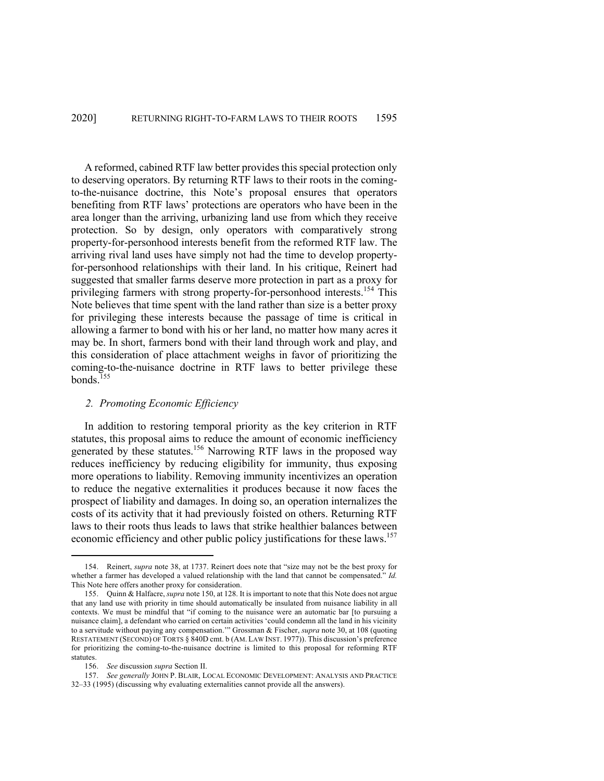A reformed, cabined RTF law better provides this special protection only to deserving operators. By returning RTF laws to their roots in the comingto-the-nuisance doctrine, this Note's proposal ensures that operators benefiting from RTF laws' protections are operators who have been in the area longer than the arriving, urbanizing land use from which they receive protection. So by design, only operators with comparatively strong property-for-personhood interests benefit from the reformed RTF law. The arriving rival land uses have simply not had the time to develop propertyfor-personhood relationships with their land. In his critique, Reinert had suggested that smaller farms deserve more protection in part as a proxy for privileging farmers with strong property-for-personhood interests.<sup>154</sup> This Note believes that time spent with the land rather than size is a better proxy for privileging these interests because the passage of time is critical in allowing a farmer to bond with his or her land, no matter how many acres it may be. In short, farmers bond with their land through work and play, and this consideration of place attachment weighs in favor of prioritizing the coming-to-the-nuisance doctrine in RTF laws to better privilege these bonds. $155$ 

# *2. Promoting Economic Efficiency*

In addition to restoring temporal priority as the key criterion in RTF statutes, this proposal aims to reduce the amount of economic inefficiency generated by these statutes.<sup>156</sup> Narrowing RTF laws in the proposed way reduces inefficiency by reducing eligibility for immunity, thus exposing more operations to liability. Removing immunity incentivizes an operation to reduce the negative externalities it produces because it now faces the prospect of liability and damages. In doing so, an operation internalizes the costs of its activity that it had previously foisted on others. Returning RTF laws to their roots thus leads to laws that strike healthier balances between economic efficiency and other public policy justifications for these laws.<sup>157</sup>

<sup>154.</sup> Reinert, *supra* note 38, at 1737. Reinert does note that "size may not be the best proxy for whether a farmer has developed a valued relationship with the land that cannot be compensated." *Id.* This Note here offers another proxy for consideration.

<sup>155.</sup> Quinn & Halfacre, *supra* note 150, at 128. It is important to note that this Note does not argue that any land use with priority in time should automatically be insulated from nuisance liability in all contexts. We must be mindful that "if coming to the nuisance were an automatic bar [to pursuing a nuisance claim], a defendant who carried on certain activities 'could condemn all the land in his vicinity to a servitude without paying any compensation.'" Grossman & Fischer, *supra* note 30, at 108 (quoting RESTATEMENT (SECOND) OF TORTS § 840D cmt. b (AM. LAW INST. 1977)). This discussion's preference for prioritizing the coming-to-the-nuisance doctrine is limited to this proposal for reforming RTF statutes.

<sup>156.</sup> *See* discussion *supra* Section II.

<sup>157.</sup> *See generally* JOHN P. BLAIR, LOCAL ECONOMIC DEVELOPMENT: ANALYSIS AND PRACTICE 32–33 (1995) (discussing why evaluating externalities cannot provide all the answers).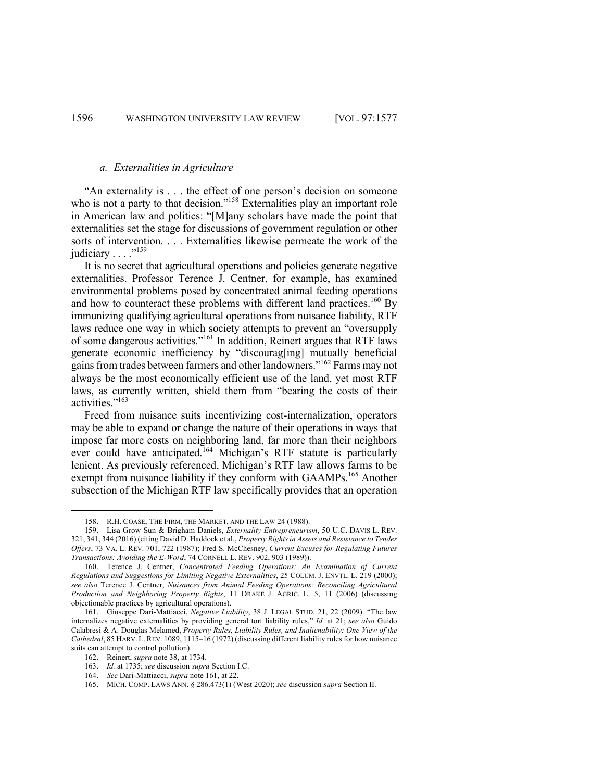# *a. Externalities in Agriculture*

"An externality is . . . the effect of one person's decision on someone who is not a party to that decision."<sup>158</sup> Externalities play an important role in American law and politics: "[M]any scholars have made the point that externalities set the stage for discussions of government regulation or other sorts of intervention. . . . Externalities likewise permeate the work of the judiciary . . . . "<sup>159</sup>

It is no secret that agricultural operations and policies generate negative externalities. Professor Terence J. Centner, for example, has examined environmental problems posed by concentrated animal feeding operations and how to counteract these problems with different land practices.<sup>160</sup> By immunizing qualifying agricultural operations from nuisance liability, RTF laws reduce one way in which society attempts to prevent an "oversupply of some dangerous activities."<sup>161</sup> In addition, Reinert argues that RTF laws generate economic inefficiency by "discourag[ing] mutually beneficial gains from trades between farmers and other landowners."162 Farms may not always be the most economically efficient use of the land, yet most RTF laws, as currently written, shield them from "bearing the costs of their activities."163

Freed from nuisance suits incentivizing cost-internalization, operators may be able to expand or change the nature of their operations in ways that impose far more costs on neighboring land, far more than their neighbors ever could have anticipated.<sup>164</sup> Michigan's RTF statute is particularly lenient. As previously referenced, Michigan's RTF law allows farms to be exempt from nuisance liability if they conform with GAAMPs.<sup>165</sup> Another subsection of the Michigan RTF law specifically provides that an operation

<sup>158.</sup> R.H. COASE, THE FIRM, THE MARKET, AND THE LAW 24 (1988).

<sup>159.</sup> Lisa Grow Sun & Brigham Daniels, *Externality Entrepreneurism*, 50 U.C. DAVIS L. REV. 321, 341, 344 (2016) (citing David D. Haddock et al., *Property Rights in Assets and Resistance to Tender Offers*, 73 VA. L. REV. 701, 722 (1987); Fred S. McChesney, *Current Excuses for Regulating Futures Transactions: Avoiding the E-Word*, 74 CORNELL L. REV. 902, 903 (1989)).

<sup>160.</sup> Terence J. Centner, *Concentrated Feeding Operations: An Examination of Current Regulations and Suggestions for Limiting Negative Externalities*, 25 COLUM. J. ENVTL. L. 219 (2000); *see also* Terence J. Centner, *Nuisances from Animal Feeding Operations: Reconciling Agricultural Production and Neighboring Property Rights*, 11 DRAKE J. AGRIC. L. 5, 11 (2006) (discussing objectionable practices by agricultural operations).

<sup>161.</sup> Giuseppe Dari-Mattiacci, *Negative Liability*, 38 J. LEGAL STUD. 21, 22 (2009). "The law internalizes negative externalities by providing general tort liability rules." *Id.* at 21; *see also* Guido Calabresi & A. Douglas Melamed, *Property Rules, Liability Rules, and Inalienability: One View of the Cathedral*, 85 HARV. L.REV. 1089, 1115–16 (1972) (discussing different liability rules for how nuisance suits can attempt to control pollution).

<sup>162.</sup> Reinert, *supra* note 38, at 1734.

<sup>163.</sup> *Id.* at 1735; *see* discussion *supra* Section I.C.

<sup>164.</sup> *See* Dari-Mattiacci, *supra* note 161, at 22.

<sup>165.</sup> MICH. COMP. LAWS ANN. § 286.473(1) (West 2020); *see* discussion *supra* Section II.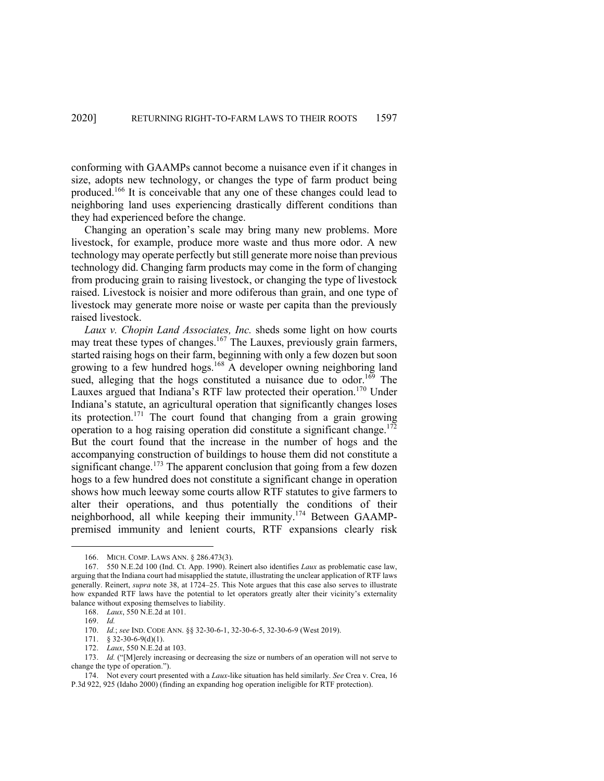conforming with GAAMPs cannot become a nuisance even if it changes in size, adopts new technology, or changes the type of farm product being produced.166 It is conceivable that any one of these changes could lead to neighboring land uses experiencing drastically different conditions than they had experienced before the change.

Changing an operation's scale may bring many new problems. More livestock, for example, produce more waste and thus more odor. A new technology may operate perfectly but still generate more noise than previous technology did. Changing farm products may come in the form of changing from producing grain to raising livestock, or changing the type of livestock raised. Livestock is noisier and more odiferous than grain, and one type of livestock may generate more noise or waste per capita than the previously raised livestock.

*Laux v. Chopin Land Associates, Inc.* sheds some light on how courts may treat these types of changes.<sup>167</sup> The Lauxes, previously grain farmers, started raising hogs on their farm, beginning with only a few dozen but soon growing to a few hundred hogs.<sup>168</sup> A developer owning neighboring land sued, alleging that the hogs constituted a nuisance due to odor.<sup>169</sup> The Lauxes argued that Indiana's RTF law protected their operation.<sup>170</sup> Under Indiana's statute, an agricultural operation that significantly changes loses its protection.<sup>171</sup> The court found that changing from a grain growing operation to a hog raising operation did constitute a significant change.<sup>172</sup> But the court found that the increase in the number of hogs and the accompanying construction of buildings to house them did not constitute a significant change.<sup>173</sup> The apparent conclusion that going from a few dozen hogs to a few hundred does not constitute a significant change in operation shows how much leeway some courts allow RTF statutes to give farmers to alter their operations, and thus potentially the conditions of their neighborhood, all while keeping their immunity.<sup>174</sup> Between GAAMPpremised immunity and lenient courts, RTF expansions clearly risk

<sup>166.</sup> MICH. COMP. LAWS ANN. § 286.473(3).

<sup>167.</sup> 550 N.E.2d 100 (Ind. Ct. App. 1990). Reinert also identifies *Laux* as problematic case law, arguing that the Indiana court had misapplied the statute, illustrating the unclear application of RTF laws generally. Reinert, *supra* note 38, at 1724–25. This Note argues that this case also serves to illustrate how expanded RTF laws have the potential to let operators greatly alter their vicinity's externality balance without exposing themselves to liability.

<sup>168.</sup> *Laux*, 550 N.E.2d at 101.

<sup>169.</sup> *Id.*

<sup>170.</sup> *Id.*; *see* IND. CODE ANN. §§ 32-30-6-1, 32-30-6-5, 32-30-6-9 (West 2019).

<sup>171.</sup> § 32-30-6-9(d)(1).

<sup>172.</sup> *Laux*, 550 N.E.2d at 103.

<sup>173.</sup> *Id.* ("[M]erely increasing or decreasing the size or numbers of an operation will not serve to change the type of operation.").

<sup>174.</sup> Not every court presented with a *Laux*-like situation has held similarly. *See* Crea v. Crea, 16 P.3d 922, 925 (Idaho 2000) (finding an expanding hog operation ineligible for RTF protection).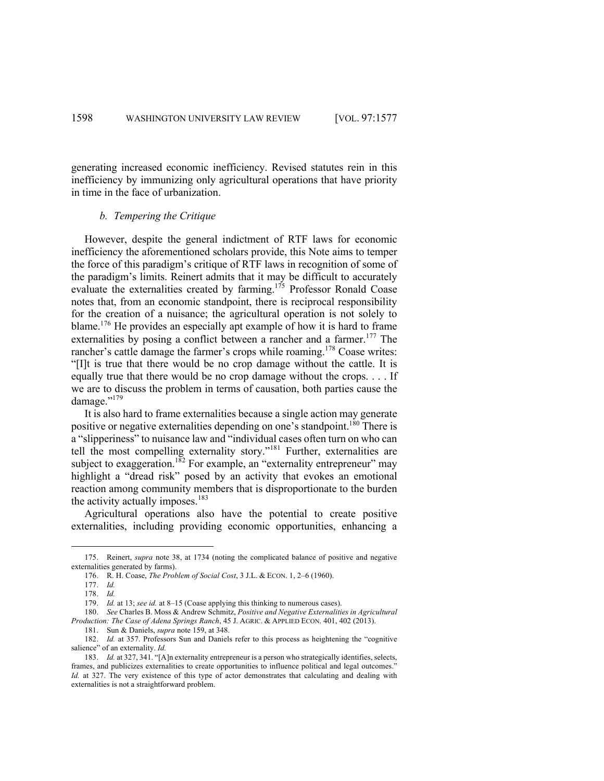generating increased economic inefficiency. Revised statutes rein in this inefficiency by immunizing only agricultural operations that have priority in time in the face of urbanization.

# *b. Tempering the Critique*

However, despite the general indictment of RTF laws for economic inefficiency the aforementioned scholars provide, this Note aims to temper the force of this paradigm's critique of RTF laws in recognition of some of the paradigm's limits. Reinert admits that it may be difficult to accurately evaluate the externalities created by farming.<sup>175</sup> Professor Ronald Coase notes that, from an economic standpoint, there is reciprocal responsibility for the creation of a nuisance; the agricultural operation is not solely to blame.<sup>176</sup> He provides an especially apt example of how it is hard to frame externalities by posing a conflict between a rancher and a farmer.<sup>177</sup> The rancher's cattle damage the farmer's crops while roaming.<sup>178</sup> Coase writes: "[I]t is true that there would be no crop damage without the cattle. It is equally true that there would be no crop damage without the crops. . . . If we are to discuss the problem in terms of causation, both parties cause the damage."<sup>179</sup>

It is also hard to frame externalities because a single action may generate positive or negative externalities depending on one's standpoint.<sup>180</sup> There is a "slipperiness" to nuisance law and "individual cases often turn on who can tell the most compelling externality story."<sup>181</sup> Further, externalities are subject to exaggeration.<sup>182</sup> For example, an "externality entrepreneur" may highlight a "dread risk" posed by an activity that evokes an emotional reaction among community members that is disproportionate to the burden the activity actually imposes.<sup>183</sup>

Agricultural operations also have the potential to create positive externalities, including providing economic opportunities, enhancing a

<sup>175.</sup> Reinert, *supra* note 38, at 1734 (noting the complicated balance of positive and negative externalities generated by farms).

<sup>176.</sup> R. H. Coase, *The Problem of Social Cost*, 3 J.L. & ECON. 1, 2–6 (1960).

<sup>177.</sup> *Id.*

<sup>178.</sup> *Id.*

<sup>179.</sup> *Id.* at 13; *see id.* at 8–15 (Coase applying this thinking to numerous cases).

<sup>180.</sup> *See* Charles B. Moss & Andrew Schmitz, *Positive and Negative Externalities in Agricultural Production: The Case of Adena Springs Ranch*, 45 J. AGRIC. & APPLIED ECON. 401, 402 (2013).

<sup>181.</sup> Sun & Daniels, *supra* note 159, at 348.

<sup>182.</sup> *Id.* at 357. Professors Sun and Daniels refer to this process as heightening the "cognitive salience" of an externality. *Id.*

<sup>183.</sup> *Id.* at 327, 341. "[A]n externality entrepreneur is a person who strategically identifies, selects, frames, and publicizes externalities to create opportunities to influence political and legal outcomes." *Id.* at 327. The very existence of this type of actor demonstrates that calculating and dealing with externalities is not a straightforward problem.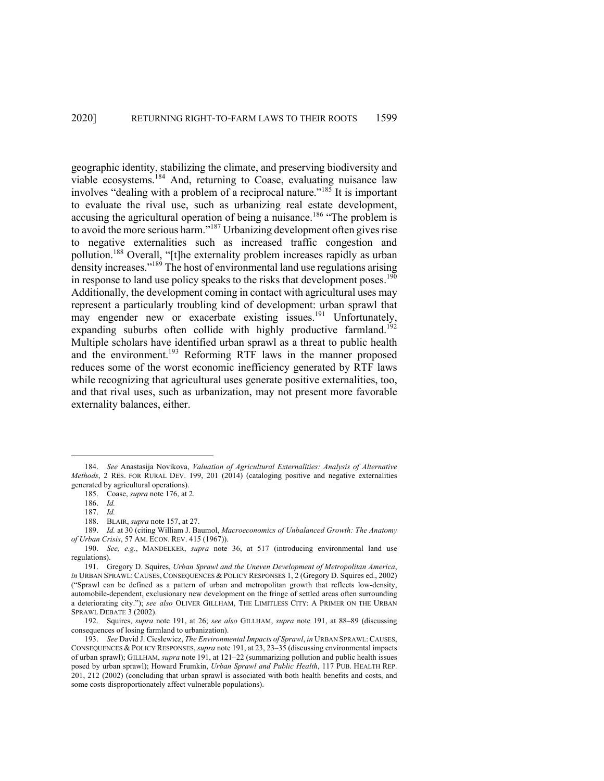geographic identity, stabilizing the climate, and preserving biodiversity and viable ecosystems. <sup>184</sup> And, returning to Coase, evaluating nuisance law involves "dealing with a problem of a reciprocal nature."<sup>185</sup> It is important to evaluate the rival use, such as urbanizing real estate development, accusing the agricultural operation of being a nuisance.<sup>186</sup> "The problem is to avoid the more serious harm."<sup>187</sup> Urbanizing development often gives rise to negative externalities such as increased traffic congestion and pollution.<sup>188</sup> Overall, "[t]he externality problem increases rapidly as urban density increases."<sup>189</sup> The host of environmental land use regulations arising in response to land use policy speaks to the risks that development poses.<sup>190</sup> Additionally, the development coming in contact with agricultural uses may represent a particularly troubling kind of development: urban sprawl that may engender new or exacerbate existing issues.<sup>191</sup> Unfortunately, expanding suburbs often collide with highly productive farmland.<sup>192</sup> Multiple scholars have identified urban sprawl as a threat to public health and the environment.<sup>193</sup> Reforming RTF laws in the manner proposed reduces some of the worst economic inefficiency generated by RTF laws while recognizing that agricultural uses generate positive externalities, too, and that rival uses, such as urbanization, may not present more favorable externality balances, either.

<sup>184.</sup> *See* Anastasija Novikova, *Valuation of Agricultural Externalities: Analysis of Alternative Methods*, 2 RES. FOR RURAL DEV. 199, 201 (2014) (cataloging positive and negative externalities generated by agricultural operations).

<sup>185.</sup> Coase, *supra* note 176, at 2.

<sup>186.</sup> *Id.* 

<sup>187.</sup> *Id.*

<sup>188.</sup> BLAIR, *supra* note 157, at 27.

<sup>189.</sup> *Id.* at 30 (citing William J. Baumol, *Macroeconomics of Unbalanced Growth: The Anatomy of Urban Crisis*, 57 AM. ECON. REV. 415 (1967)).

<sup>190.</sup> *See, e.g.*, MANDELKER, *supra* note 36, at 517 (introducing environmental land use regulations).

<sup>191.</sup> Gregory D. Squires, *Urban Sprawl and the Uneven Development of Metropolitan America*, *in* URBAN SPRAWL: CAUSES, CONSEQUENCES & POLICY RESPONSES 1, 2 (Gregory D. Squires ed., 2002) ("Sprawl can be defined as a pattern of urban and metropolitan growth that reflects low-density, automobile-dependent, exclusionary new development on the fringe of settled areas often surrounding a deteriorating city."); *see also* OLIVER GILLHAM, THE LIMITLESS CITY: A PRIMER ON THE URBAN SPRAWL DEBATE 3 (2002).

<sup>192.</sup> Squires, *supra* note 191, at 26; *see also* GILLHAM, *supra* note 191, at 88–89 (discussing consequences of losing farmland to urbanization).

<sup>193.</sup> *See* David J. Cieslewicz, *The Environmental Impacts of Sprawl*, *in* URBAN SPRAWL:CAUSES, CONSEQUENCES & POLICY RESPONSES, *supra* note 191, at 23, 23–35 (discussing environmental impacts of urban sprawl); GILLHAM, *supra* note 191, at 121–22 (summarizing pollution and public health issues posed by urban sprawl); Howard Frumkin, *Urban Sprawl and Public Health*, 117 PUB. HEALTH REP. 201, 212 (2002) (concluding that urban sprawl is associated with both health benefits and costs, and some costs disproportionately affect vulnerable populations).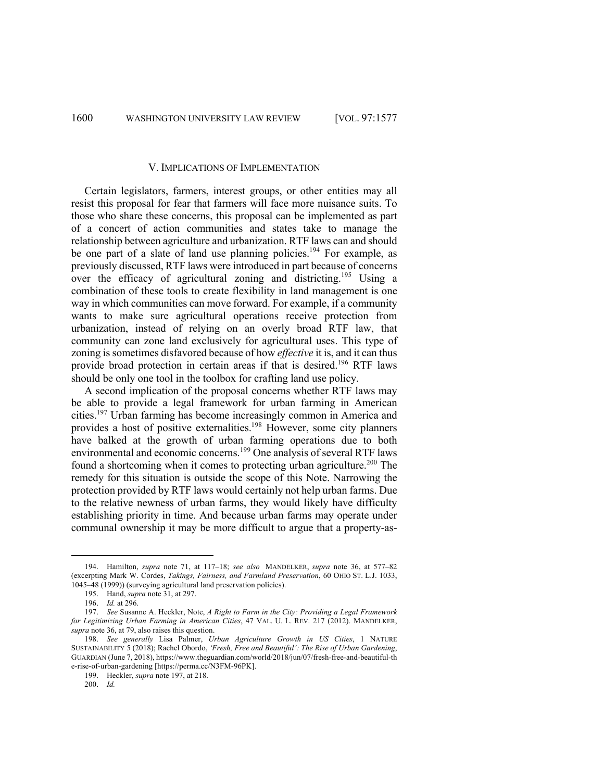1600 WASHINGTON UNIVERSITY LAW REVIEW [VOL. 97:1577

## V. IMPLICATIONS OF IMPLEMENTATION

Certain legislators, farmers, interest groups, or other entities may all resist this proposal for fear that farmers will face more nuisance suits. To those who share these concerns, this proposal can be implemented as part of a concert of action communities and states take to manage the relationship between agriculture and urbanization. RTF laws can and should be one part of a slate of land use planning policies.<sup>194</sup> For example, as previously discussed, RTF laws were introduced in part because of concerns over the efficacy of agricultural zoning and districting.195 Using a combination of these tools to create flexibility in land management is one way in which communities can move forward. For example, if a community wants to make sure agricultural operations receive protection from urbanization, instead of relying on an overly broad RTF law, that community can zone land exclusively for agricultural uses. This type of zoning is sometimes disfavored because of how *effective* it is, and it can thus provide broad protection in certain areas if that is desired. <sup>196</sup> RTF laws should be only one tool in the toolbox for crafting land use policy.

A second implication of the proposal concerns whether RTF laws may be able to provide a legal framework for urban farming in American cities.197 Urban farming has become increasingly common in America and provides a host of positive externalities.<sup>198</sup> However, some city planners have balked at the growth of urban farming operations due to both environmental and economic concerns.199 One analysis of several RTF laws found a shortcoming when it comes to protecting urban agriculture.<sup>200</sup> The remedy for this situation is outside the scope of this Note. Narrowing the protection provided by RTF laws would certainly not help urban farms. Due to the relative newness of urban farms, they would likely have difficulty establishing priority in time. And because urban farms may operate under communal ownership it may be more difficult to argue that a property-as-

<sup>194.</sup> Hamilton, *supra* note 71, at 117–18; *see also* MANDELKER, *supra* note 36, at 577–82 (excerpting Mark W. Cordes, *Takings, Fairness, and Farmland Preservation*, 60 OHIO ST. L.J. 1033, 1045–48 (1999)) (surveying agricultural land preservation policies).

<sup>195.</sup> Hand, *supra* note 31, at 297.

<sup>196.</sup> *Id.* at 296.

<sup>197.</sup> *See* Susanne A. Heckler, Note, *A Right to Farm in the City: Providing a Legal Framework for Legitimizing Urban Farming in American Cities*, 47 VAL. U. L. REV. 217 (2012). MANDELKER, *supra* note 36, at 79, also raises this question.

<sup>198.</sup> *See generally* Lisa Palmer, *Urban Agriculture Growth in US Cities*, 1 NATURE SUSTAINABILITY 5 (2018); Rachel Obordo, *'Fresh, Free and Beautiful': The Rise of Urban Gardening*, GUARDIAN (June 7, 2018), https://www.theguardian.com/world/2018/jun/07/fresh-free-and-beautiful-th e-rise-of-urban-gardening [https://perma.cc/N3FM-96PK].

<sup>199.</sup> Heckler, *supra* note 197, at 218.

<sup>200.</sup> *Id.*